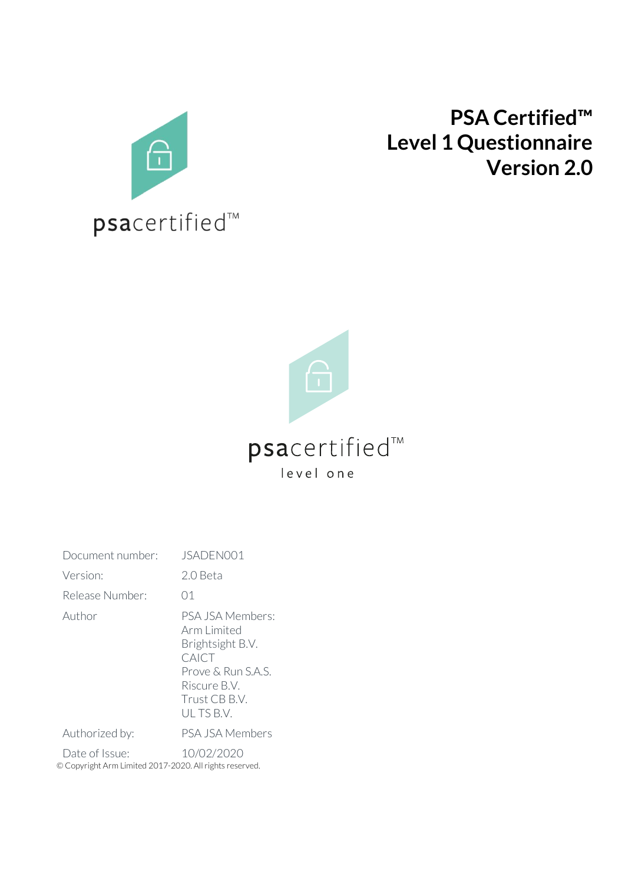

# **PSA Certified™ Level 1 Questionnaire Version 2.0**



| Document number:                                                          | JSADEN001                                                                                                                        |
|---------------------------------------------------------------------------|----------------------------------------------------------------------------------------------------------------------------------|
| Version:                                                                  | 2.0 Beta                                                                                                                         |
| Release Number:                                                           | 01                                                                                                                               |
| Author                                                                    | PSA JSA Members:<br>Arm Limited<br>Brightsight B.V.<br>CAICT<br>Prove & Run S.A.S.<br>Riscure B.V.<br>Trust CB B.V.<br>ULTS B.V. |
| Authorized by:                                                            | PSA JSA Members                                                                                                                  |
| Date of Issue:<br>© Copyright Arm Limited 2017-2020. All rights reserved. | 10/02/2020                                                                                                                       |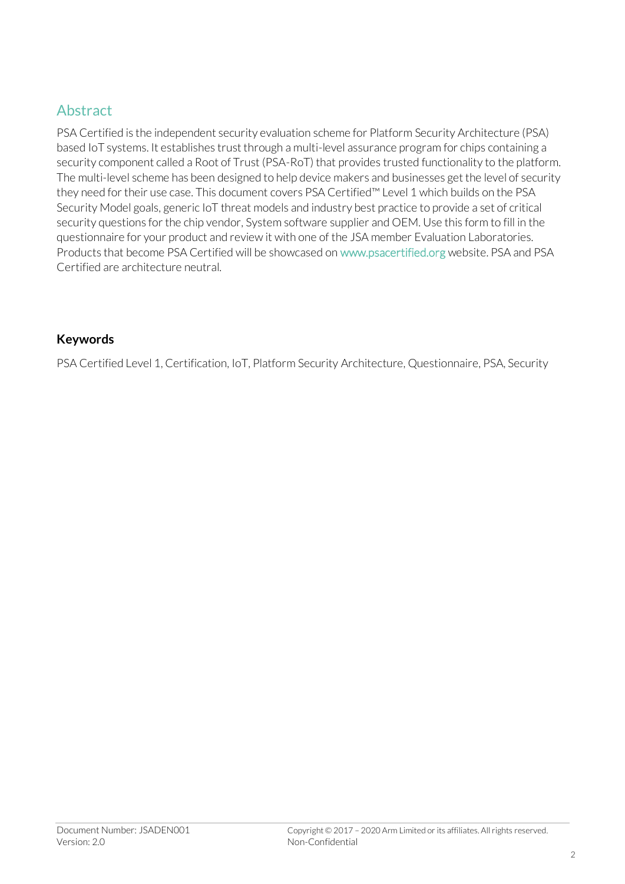#### Abstract

PSA Certified is the independent security evaluation scheme for Platform Security Architecture (PSA) based IoT systems. It establishes trust through a multi-level assurance program for chips containing a security component called a Root of Trust (PSA-RoT) that provides trusted functionality to the platform. The multi-level scheme has been designed to help device makers and businesses get the level of security they need for their use case. This document covers PSA Certified™ Level 1 which builds on the PSA Security Model goals, generic IoT threat models and industry best practice to provide a set of critical security questions for the chip vendor, System software supplier and OEM. Use this form to fill in the questionnaire for your product and review it with one of the JSA member Evaluation Laboratories. Products that become PSA Certified will be showcased on www.psacertified.org website. PSA and PSA Certified are architecture neutral.

#### **Keywords**

PSA Certified Level 1, Certification, IoT, Platform Security Architecture, Questionnaire, PSA, Security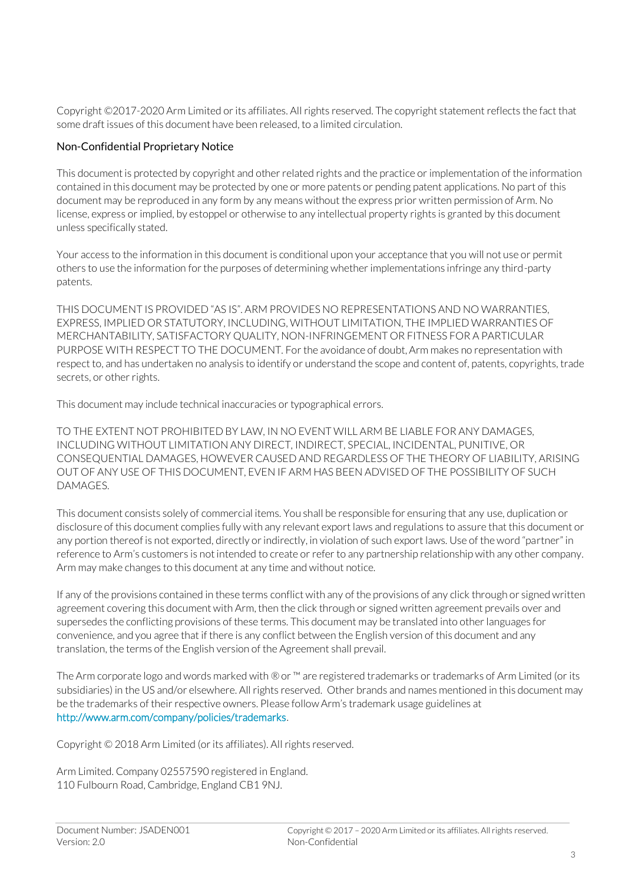Copyright ©2017-2020 Arm Limited or its affiliates. All rights reserved. The copyright statement reflects the fact that some draft issues of this document have been released, to a limited circulation.

#### Non-Confidential Proprietary Notice

This document is protected by copyright and other related rights and the practice or implementation of the information contained in this document may be protected by one or more patents or pending patent applications. No part of this document may be reproduced in any form by any means without the express prior written permission of Arm. No license, express or implied, by estoppel or otherwise to any intellectual property rights is granted by this document unless specifically stated.

Your access to the information in this document is conditional upon your acceptance that you will not use or permit others to use the information for the purposes of determining whether implementations infringe any third-party patents.

THIS DOCUMENT IS PROVIDED "AS IS". ARM PROVIDES NO REPRESENTATIONS AND NO WARRANTIES, EXPRESS, IMPLIED OR STATUTORY, INCLUDING, WITHOUT LIMITATION, THE IMPLIED WARRANTIES OF MERCHANTABILITY, SATISFACTORY QUALITY, NON-INFRINGEMENT OR FITNESS FOR A PARTICULAR PURPOSE WITH RESPECT TO THE DOCUMENT. For the avoidance of doubt, Arm makes no representation with respect to, and has undertaken no analysis to identify or understand the scope and content of, patents, copyrights, trade secrets, or other rights.

This document may include technical inaccuracies or typographical errors.

TO THE EXTENT NOT PROHIBITED BY LAW, IN NO EVENT WILL ARM BE LIABLE FOR ANY DAMAGES, INCLUDING WITHOUT LIMITATION ANY DIRECT, INDIRECT, SPECIAL, INCIDENTAL, PUNITIVE, OR CONSEQUENTIAL DAMAGES, HOWEVER CAUSED AND REGARDLESS OF THE THEORY OF LIABILITY, ARISING OUT OF ANY USE OF THIS DOCUMENT, EVEN IF ARM HAS BEEN ADVISED OF THE POSSIBILITY OF SUCH DAMAGES.

This document consists solely of commercial items. You shall be responsible for ensuring that any use, duplication or disclosure of this document complies fully with any relevant export laws and regulations to assure that this document or any portion thereof is not exported, directly or indirectly, in violation of such export laws. Use of the word "partner" in reference to Arm's customers is not intended to create or refer to any partnership relationship with any other company. Arm may make changes to this document at any time and without notice.

If any of the provisions contained in these terms conflict with any of the provisions of any click through or signed written agreement covering this document with Arm, then the click through or signed written agreement prevails over and supersedes the conflicting provisions of these terms. This document may be translated into other languages for convenience, and you agree that if there is any conflict between the English version of this document and any translation, the terms of the English version of the Agreement shall prevail.

The Arm corporate logo and words marked with ® or ™ are registered trademarks or trademarks of Arm Limited (or its subsidiaries) in the US and/or elsewhere. All rights reserved. Other brands and names mentioned in this document may be the trademarks of their respective owners. Please follow Arm's trademark usage guidelines at [http://www.arm.com/company/policies/trademarks.](http://www.arm.com/company/policies/trademarks)

Copyright © 2018 Arm Limited (or its affiliates). All rights reserved.

Arm Limited. Company 02557590 registered in England. 110 Fulbourn Road, Cambridge, England CB1 9NJ.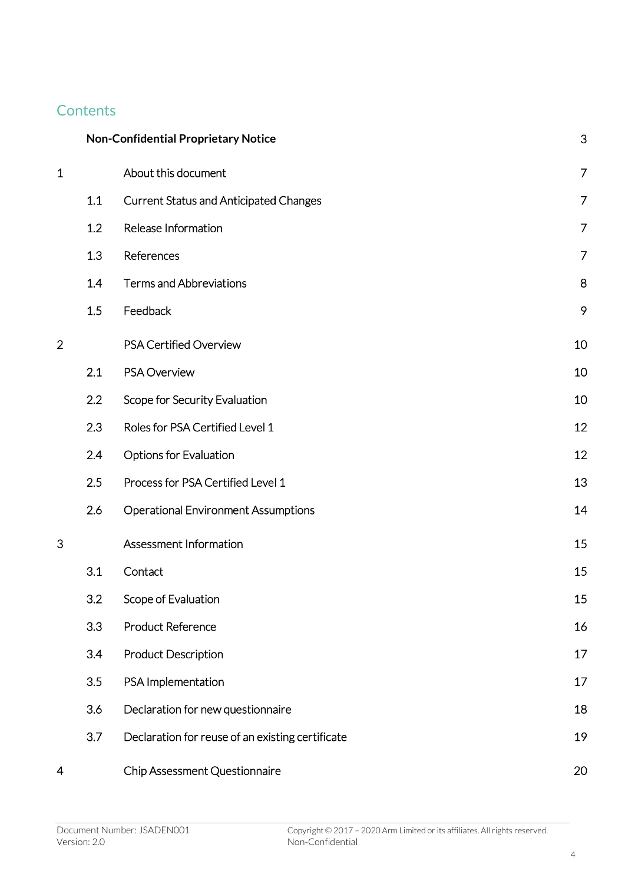## **Contents**

|                |     | <b>Non-Confidential Proprietary Notice</b>       | 3              |
|----------------|-----|--------------------------------------------------|----------------|
| $\mathbf 1$    |     | About this document                              | $\overline{7}$ |
|                | 1.1 | <b>Current Status and Anticipated Changes</b>    | $\overline{7}$ |
|                | 1.2 | Release Information                              | $\overline{7}$ |
|                | 1.3 | References                                       | 7              |
|                | 1.4 | <b>Terms and Abbreviations</b>                   | 8              |
|                | 1.5 | Feedback                                         | 9              |
| $\overline{2}$ |     | PSA Certified Overview                           | 10             |
|                | 2.1 | <b>PSA Overview</b>                              | 10             |
|                | 2.2 | Scope for Security Evaluation                    | 10             |
|                | 2.3 | Roles for PSA Certified Level 1                  | 12             |
|                | 2.4 | <b>Options for Evaluation</b>                    | 12             |
|                | 2.5 | Process for PSA Certified Level 1                | 13             |
|                | 2.6 | <b>Operational Environment Assumptions</b>       | 14             |
| 3              |     | Assessment Information                           | 15             |
|                | 3.1 | Contact                                          | 15             |
|                | 3.2 | Scope of Evaluation                              | 15             |
|                | 3.3 | <b>Product Reference</b>                         | 16             |
|                | 3.4 | <b>Product Description</b>                       | 17             |
|                | 3.5 | PSA Implementation                               | 17             |
|                | 3.6 | Declaration for new questionnaire                | 18             |
|                | 3.7 | Declaration for reuse of an existing certificate | 19             |
| 4              |     | Chip Assessment Questionnaire                    | 20             |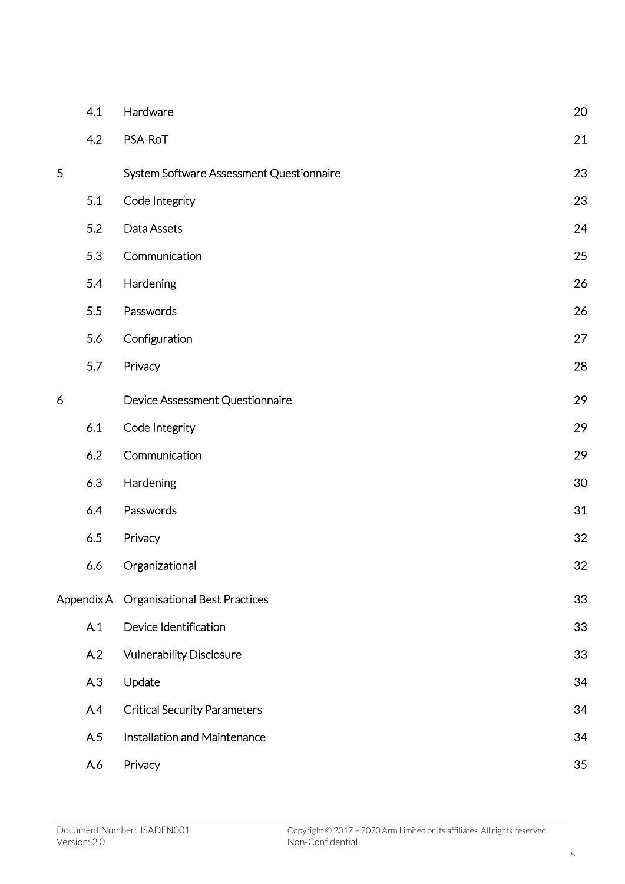| 4.1 | Hardware                                 | 20         |
|-----|------------------------------------------|------------|
| 4.2 | PSA-RoT                                  | 21         |
|     | System Software Assessment Questionnaire | 23         |
| 5.1 | Code Integrity                           | 23         |
| 5.2 | Data Assets                              | 24         |
| 5.3 | Communication                            | 25         |
| 5.4 | Hardening                                | 26         |
| 5.5 | Passwords                                | 26         |
| 5.6 | Configuration                            | 27         |
| 5.7 | Privacy                                  | 28         |
|     | Device Assessment Questionnaire          | 29         |
| 6.1 | Code Integrity                           | 29         |
| 6.2 | Communication                            | 29         |
| 6.3 | Hardening                                | 30         |
| 6.4 | Passwords                                | 31         |
| 6.5 | Privacy                                  | 32         |
| 6.6 | Organizational                           | 32         |
|     | <b>Organisational Best Practices</b>     | 33         |
| A.1 | Device Identification                    | 33         |
| A.2 | <b>Vulnerability Disclosure</b>          | 33         |
| A.3 | Update                                   | 34         |
| A.4 | <b>Critical Security Parameters</b>      | 34         |
| A.5 | Installation and Maintenance             | 34         |
| A.6 | Privacy                                  | 35         |
|     |                                          | Appendix A |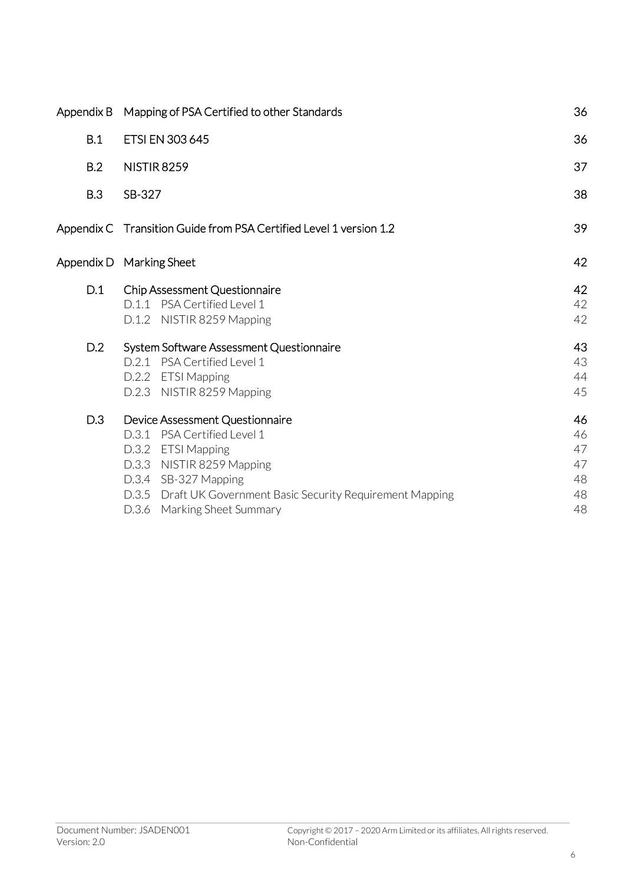| Appendix B | Mapping of PSA Certified to other Standards                                                                                                                                                                                              | 36                                     |
|------------|------------------------------------------------------------------------------------------------------------------------------------------------------------------------------------------------------------------------------------------|----------------------------------------|
| B.1        | ETSI EN 303 645                                                                                                                                                                                                                          | 36                                     |
| B.2        | <b>NISTIR 8259</b>                                                                                                                                                                                                                       | 37                                     |
| B.3        | SB-327                                                                                                                                                                                                                                   | 38                                     |
|            | Appendix C Transition Guide from PSA Certified Level 1 version 1.2                                                                                                                                                                       | 39                                     |
|            | Appendix D Marking Sheet                                                                                                                                                                                                                 | 42                                     |
| D.1        | Chip Assessment Questionnaire<br>D.1.1 PSA Certified Level 1<br>D.1.2 NISTIR 8259 Mapping                                                                                                                                                | 42<br>42<br>42                         |
| D.2        | System Software Assessment Questionnaire<br>D.2.1 PSA Certified Level 1<br>D.2.2 ETSI Mapping<br>D.2.3 NISTIR 8259 Mapping                                                                                                               | 43<br>43<br>44<br>45                   |
| D.3        | Device Assessment Questionnaire<br>D.3.1 PSA Certified Level 1<br>D.3.2 ETSI Mapping<br>D.3.3 NISTIR 8259 Mapping<br>D.3.4 SB-327 Mapping<br>D.3.5 Draft UK Government Basic Security Requirement Mapping<br>D.3.6 Marking Sheet Summary | 46<br>46<br>47<br>47<br>48<br>48<br>48 |
|            |                                                                                                                                                                                                                                          |                                        |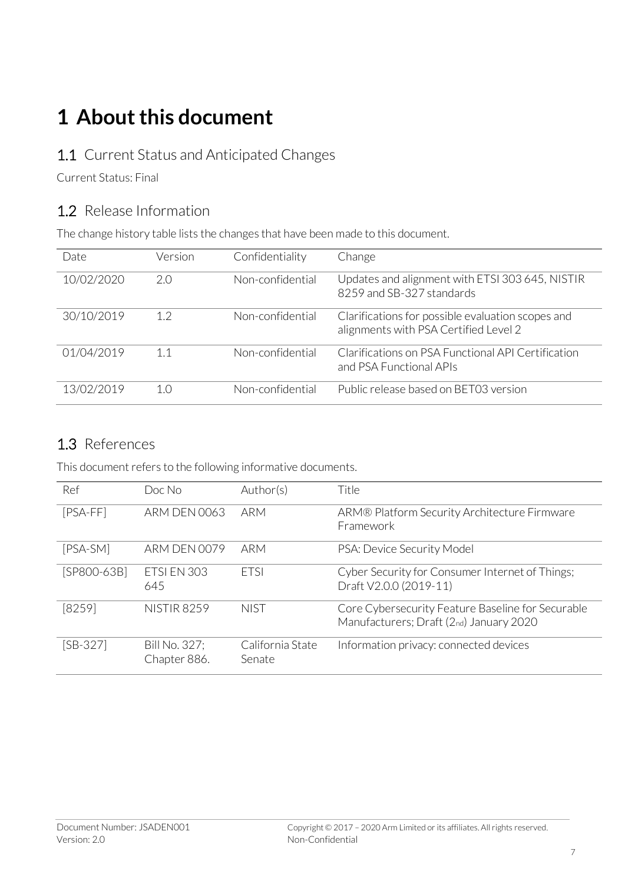# **1 About this document**

#### 1.1 Current Status and Anticipated Changes

Current Status: Final

#### 1.2 Release Information

The change history table lists the changes that have been made to this document.

| Date       | Version | Confidentiality  | Change                                                                                     |
|------------|---------|------------------|--------------------------------------------------------------------------------------------|
| 10/02/2020 | 2.0     | Non-confidential | Updates and alignment with ETSI 303 645, NISTIR<br>8259 and SB-327 standards               |
| 30/10/2019 | 1.2     | Non-confidential | Clarifications for possible evaluation scopes and<br>alignments with PSA Certified Level 2 |
| 01/04/2019 | 1.1     | Non-confidential | Clarifications on PSA Functional API Certification<br>and PSA Functional APIs              |
| 13/02/2019 | 1()     | Non-confidential | Public release based on BET03 version                                                      |

#### 1.3 References

This document refers to the following informative documents.

| Ref         | Doc No                        | Author(s)                  | Title                                                                                        |
|-------------|-------------------------------|----------------------------|----------------------------------------------------------------------------------------------|
| $[PSA-FF]$  | <b>ARM DEN 0063</b>           | ARM                        | ARM® Platform Security Architecture Firmware<br>Framework                                    |
| [PSA-SM]    | <b>ARM DEN 0079</b>           | ARM                        | PSA: Device Security Model                                                                   |
| [SP800-63B] | ETSI EN 303<br>645            | <b>FTSI</b>                | Cyber Security for Consumer Internet of Things;<br>Draft V2.0.0 (2019-11)                    |
| [8259]      | <b>NISTIR 8259</b>            | <b>NIST</b>                | Core Cybersecurity Feature Baseline for Securable<br>Manufacturers; Draft (2nd) January 2020 |
| $[SB-327]$  | Bill No. 327;<br>Chapter 886. | California State<br>Senate | Information privacy: connected devices                                                       |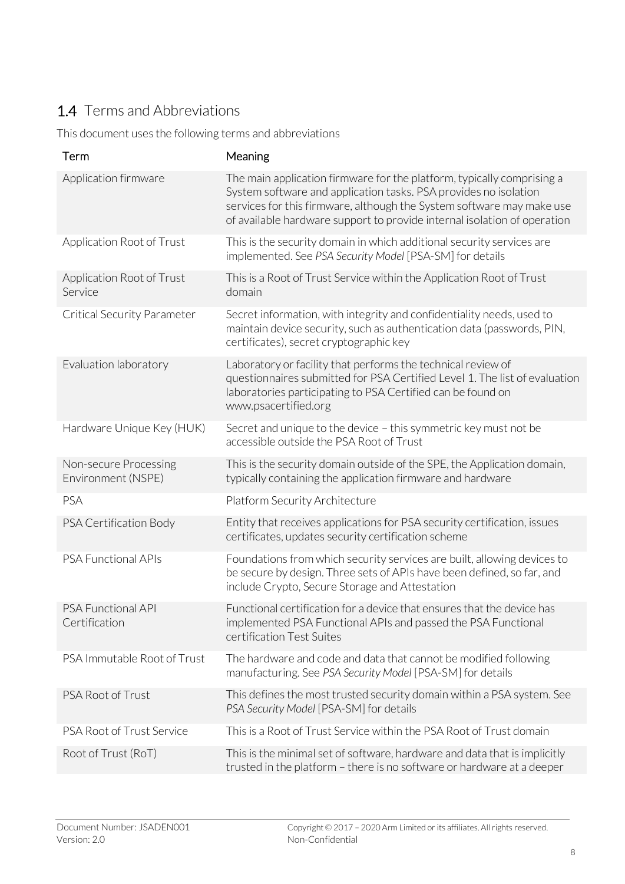## 1.4 Terms and Abbreviations

This document uses the following terms and abbreviations

| Term                                        | Meaning                                                                                                                                                                                                                                                                                         |
|---------------------------------------------|-------------------------------------------------------------------------------------------------------------------------------------------------------------------------------------------------------------------------------------------------------------------------------------------------|
| Application firmware                        | The main application firmware for the platform, typically comprising a<br>System software and application tasks. PSA provides no isolation<br>services for this firmware, although the System software may make use<br>of available hardware support to provide internal isolation of operation |
| Application Root of Trust                   | This is the security domain in which additional security services are<br>implemented. See PSA Security Model [PSA-SM] for details                                                                                                                                                               |
| Application Root of Trust<br>Service        | This is a Root of Trust Service within the Application Root of Trust<br>domain                                                                                                                                                                                                                  |
| <b>Critical Security Parameter</b>          | Secret information, with integrity and confidentiality needs, used to<br>maintain device security, such as authentication data (passwords, PIN,<br>certificates), secret cryptographic key                                                                                                      |
| Evaluation laboratory                       | Laboratory or facility that performs the technical review of<br>questionnaires submitted for PSA Certified Level 1. The list of evaluation<br>laboratories participating to PSA Certified can be found on<br>www.psacertified.org                                                               |
| Hardware Unique Key (HUK)                   | Secret and unique to the device - this symmetric key must not be<br>accessible outside the PSA Root of Trust                                                                                                                                                                                    |
| Non-secure Processing<br>Environment (NSPE) | This is the security domain outside of the SPE, the Application domain,<br>typically containing the application firmware and hardware                                                                                                                                                           |
| PSA                                         | Platform Security Architecture                                                                                                                                                                                                                                                                  |
| PSA Certification Body                      | Entity that receives applications for PSA security certification, issues<br>certificates, updates security certification scheme                                                                                                                                                                 |
| PSA Functional APIs                         | Foundations from which security services are built, allowing devices to<br>be secure by design. Three sets of APIs have been defined, so far, and<br>include Crypto, Secure Storage and Attestation                                                                                             |
| <b>PSA Functional API</b><br>Certification  | Functional certification for a device that ensures that the device has<br>implemented PSA Functional APIs and passed the PSA Functional<br>certification Test Suites                                                                                                                            |
| PSA Immutable Root of Trust                 | The hardware and code and data that cannot be modified following<br>manufacturing. See PSA Security Model [PSA-SM] for details                                                                                                                                                                  |
| PSA Root of Trust                           | This defines the most trusted security domain within a PSA system. See<br>PSA Security Model [PSA-SM] for details                                                                                                                                                                               |
| PSA Root of Trust Service                   | This is a Root of Trust Service within the PSA Root of Trust domain                                                                                                                                                                                                                             |
| Root of Trust (RoT)                         | This is the minimal set of software, hardware and data that is implicitly<br>trusted in the platform - there is no software or hardware at a deeper                                                                                                                                             |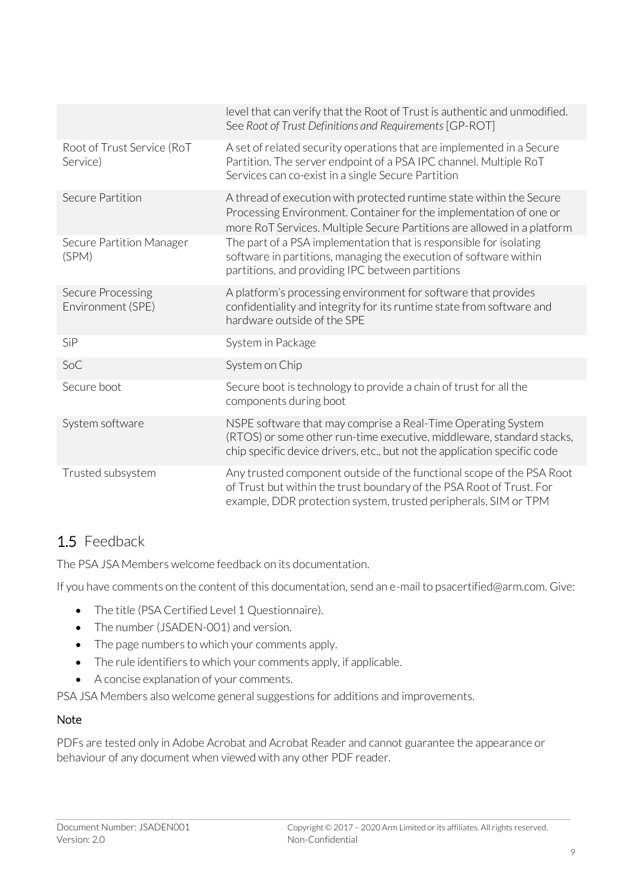|                                        | level that can verify that the Root of Trust is authentic and unmodified.<br>See Root of Trust Definitions and Requirements [GP-ROT]                                                                                  |
|----------------------------------------|-----------------------------------------------------------------------------------------------------------------------------------------------------------------------------------------------------------------------|
| Root of Trust Service (RoT<br>Service) | A set of related security operations that are implemented in a Secure<br>Partition. The server endpoint of a PSA IPC channel. Multiple RoT<br>Services can co-exist in a single Secure Partition                      |
| Secure Partition                       | A thread of execution with protected runtime state within the Secure<br>Processing Environment. Container for the implementation of one or<br>more RoT Services. Multiple Secure Partitions are allowed in a platform |
| Secure Partition Manager<br>(SPM)      | The part of a PSA implementation that is responsible for isolating<br>software in partitions, managing the execution of software within<br>partitions, and providing IPC between partitions                           |
| Secure Processing<br>Environment (SPE) | A platform's processing environment for software that provides<br>confidentiality and integrity for its runtime state from software and<br>hardware outside of the SPE                                                |
| SiP                                    | System in Package                                                                                                                                                                                                     |
| SoC                                    | System on Chip                                                                                                                                                                                                        |
| Secure boot                            | Secure boot is technology to provide a chain of trust for all the<br>components during boot                                                                                                                           |
| System software                        | NSPE software that may comprise a Real-Time Operating System<br>(RTOS) or some other run-time executive, middleware, standard stacks,<br>chip specific device drivers, etc., but not the application specific code    |
| Trusted subsystem                      | Any trusted component outside of the functional scope of the PSA Root<br>of Trust but within the trust boundary of the PSA Root of Trust. For<br>example, DDR protection system, trusted peripherals, SIM or TPM      |

### 1.5 Feedback

The PSA JSA Members welcome feedback on its documentation.

If you have comments on the content of this documentation, send an e-mail to psacertified@arm.com. Give:

- The title (PSA Certified Level 1 Questionnaire).
- The number (JSADEN-001) and version.
- The page numbers to which your comments apply.
- The rule identifiers to which your comments apply, if applicable.
- A concise explanation of your comments.

PSA JSA Members also welcome general suggestions for additions and improvements.

#### **Note**

PDFs are tested only in Adobe Acrobat and Acrobat Reader and cannot guarantee the appearance or behaviour of any document when viewed with any other PDF reader.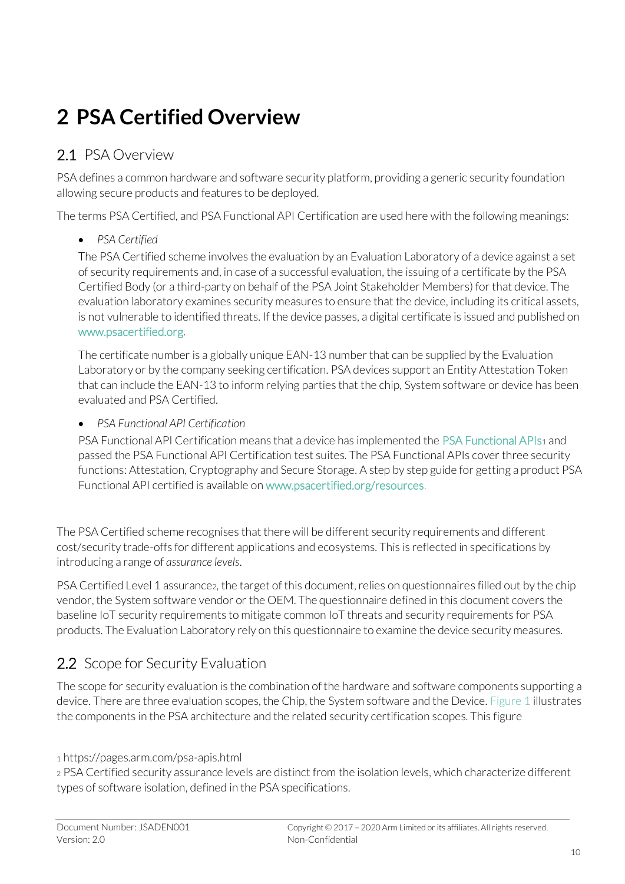# **2 PSA Certified Overview**

### 2.1 PSA Overview

PSA defines a common hardware and software security platform, providing a generic security foundation allowing secure products and features to be deployed.

The terms PSA Certified, and PSA Functional API Certification are used here with the following meanings:

#### • *PSA Certified*

The PSA Certified scheme involves the evaluation by an Evaluation Laboratory of a device against a set of security requirements and, in case of a successful evaluation, the issuing of a certificate by the PSA Certified Body (or a third-party on behalf of the PSA Joint Stakeholder Members) for that device. The evaluation laboratory examines security measures to ensure that the device, including its critical assets, is not vulnerable to identified threats. If the device passes, a digital certificate is issued and published on [www.psacertified.org.](http://www.psacertified.org/) 

The certificate number is a globally unique EAN-13 number that can be supplied by the Evaluation Laboratory or by the company seeking certification. PSA devices support an Entity Attestation Token that can include the EAN-13 to inform relying parties that the chip, System software or device has been evaluated and PSA Certified.

• *PSA Functional API Certification*

PSA Functional API Certification means that a device has implemented the [PSA Functional APIs](https://pages.arm.com/psa-apis.html)<sup>1</sup> and passed the PSA Functional API Certification test suites. The PSA Functional APIs cover three security functions: Attestation, Cryptography and Secure Storage. A step by step guide for getting a product PSA Functional API certified is available on [www.psacertified.org/resources.](http://www.psacertified.org/resources)

The PSA Certified scheme recognises that there will be different security requirements and different cost/security trade-offs for different applications and ecosystems. This is reflected in specifications by introducing a range of *assurance levels*.

PSA Certified Level 1 assurance2, the target of this document, relies on questionnaires filled out by the chip vendor, the System software vendor or the OEM. The questionnaire defined in this document covers the baseline IoT security requirements to mitigate common IoT threats and security requirements for PSA products. The Evaluation Laboratory rely on this questionnaire to examine the device security measures.

## 2.2 Scope for Security Evaluation

The scope for security evaluation is the combination of the hardware and software components supporting a device. There are three evaluation scopes, the Chip, the System software and the Device[. Figure 1](#page-10-0) illustrates the components in the PSA architecture and the related security certification scopes. This figure

<sup>1</sup> https://pages.arm.com/psa-apis.html

<sup>2</sup> PSA Certified security assurance levels are distinct from the isolation levels, which characterize different types of software isolation, defined in the PSA specifications.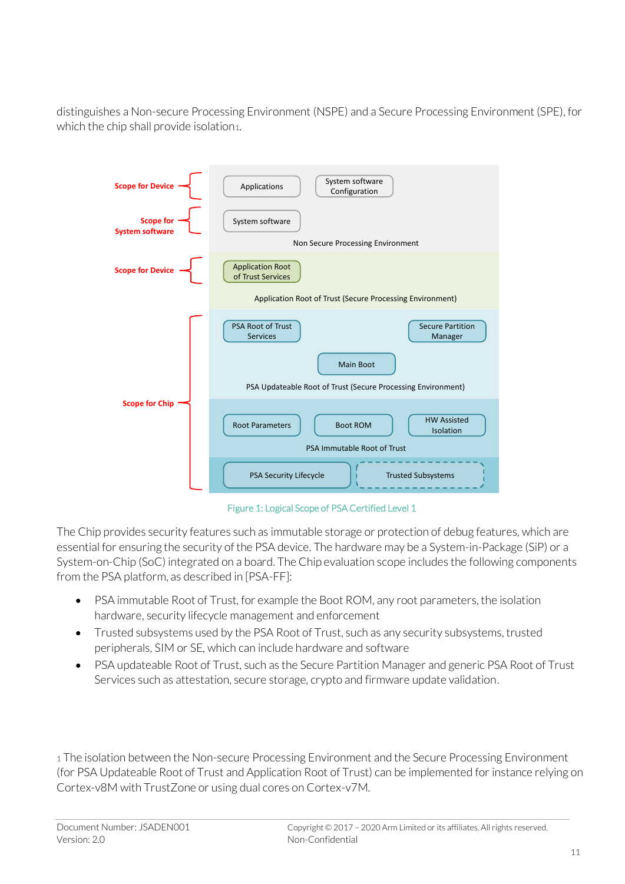distinguishes a Non-secure Processing Environment (NSPE) and a Secure Processing Environment (SPE), for which the chip shall provide isolation1.



Figure 1: Logical Scope of PSA Certified Level 1

<span id="page-10-0"></span>The Chip provides security features such as immutable storage or protection of debug features, which are essential for ensuring the security of the PSA device. The hardware may be a System-in-Package (SiP) or a System-on-Chip (SoC) integrated on a board. The Chip evaluation scope includes the following components from the PSA platform, as described in [PSA-FF]:

- PSA immutable Root of Trust, for example the Boot ROM, any root parameters, the isolation hardware, security lifecycle management and enforcement
- Trusted subsystems used by the PSA Root of Trust, such as any security subsystems, trusted peripherals, SIM or SE, which can include hardware and software
- PSA updateable Root of Trust, such as the Secure Partition Manager and generic PSA Root of Trust Services such as attestation, secure storage, crypto and firmware update validation.

1 The isolation between the Non-secure Processing Environment and the Secure Processing Environment (for PSA Updateable Root of Trust and Application Root of Trust) can be implemented for instance relying on Cortex-v8M with TrustZone or using dual cores on Cortex-v7M.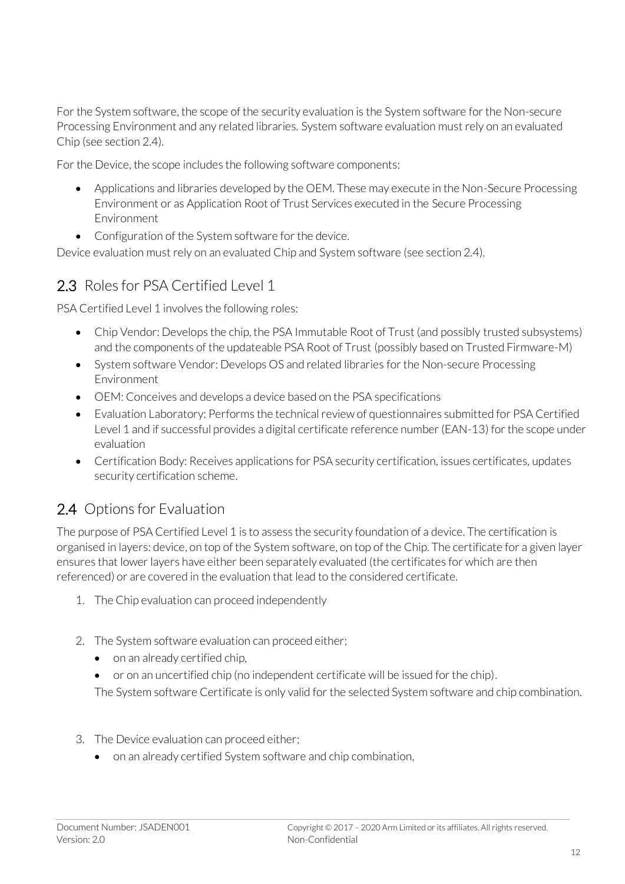For the System software, the scope of the security evaluation is the System software for the Non-secure Processing Environment and any related libraries. System software evaluation must rely on an evaluated Chip (see sectio[n 2.4\)](#page-11-0).

For the Device, the scope includes the following software components:

- Applications and libraries developed by the OEM. These may execute in the Non-Secure Processing Environment or as Application Root of Trust Services executed in the Secure Processing Environment
- Configuration of the System software for the device.

Device evaluation must rely on an evaluated Chip and System software (see section 2.4).

#### 2.3 Roles for PSA Certified Level 1

PSA Certified Level 1 involves the following roles:

- Chip Vendor: Develops the chip, the PSA Immutable Root of Trust (and possibly trusted subsystems) and the components of the updateable PSA Root of Trust (possibly based on Trusted Firmware-M)
- System software Vendor: Develops OS and related libraries for the Non-secure Processing Environment
- OEM: Conceives and develops a device based on the PSA specifications
- Evaluation Laboratory: Performs the technical review of questionnaires submitted for PSA Certified Level 1 and if successful provides a digital certificate reference number (EAN-13) for the scope under evaluation
- Certification Body: Receives applications for PSA security certification, issues certificates, updates security certification scheme.

### <span id="page-11-0"></span>2.4 Options for Evaluation

The purpose of PSA Certified Level 1 is to assess the security foundation of a device. The certification is organised in layers: device, on top of the System software, on top of the Chip. The certificate for a given layer ensures that lower layers have either been separately evaluated (the certificates for which are then referenced) or are covered in the evaluation that lead to the considered certificate.

- 1. The Chip evaluation can proceed independently
- 2. The System software evaluation can proceed either;
	- on an already certified chip,
	- or on an uncertified chip (no independent certificate will be issued for the chip).

The System software Certificate is only valid for the selected System software and chip combination.

- 3. The Device evaluation can proceed either;
	- on an already certified System software and chip combination,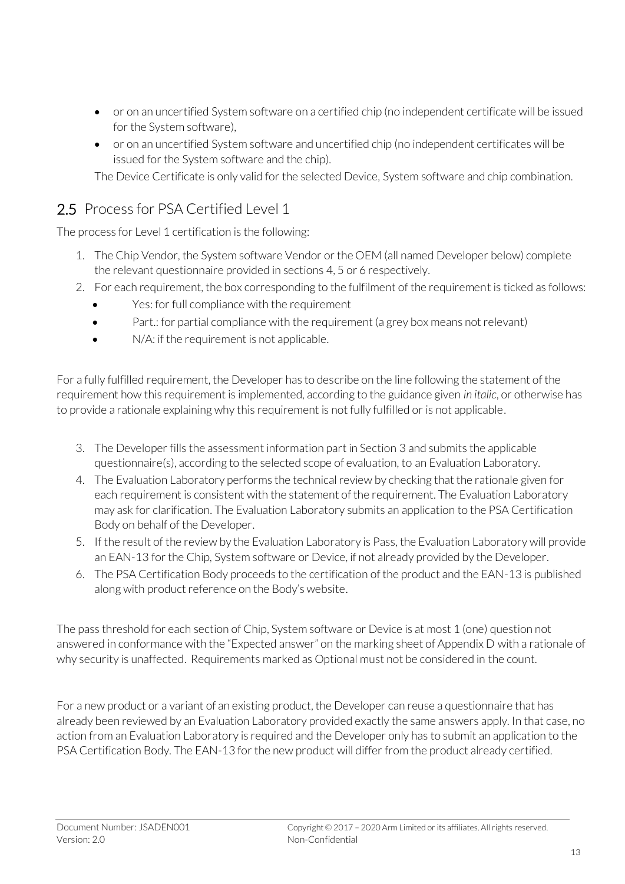- or on an uncertified System software on a certified chip (no independent certificate will be issued for the System software),
- or on an uncertified System software and uncertified chip (no independent certificates will be issued for the System software and the chip).

The Device Certificate is only valid for the selected Device, System software and chip combination.

#### 2.5 Process for PSA Certified Level 1

The process for Level 1 certification is the following:

- 1. The Chip Vendor, the System software Vendor or the OEM (all named Developer below) complete the relevant questionnaire provided in sections [4,](#page-19-0) [5](#page-22-0) o[r 6](#page-28-0) respectively.
- 2. For each requirement, the box corresponding to the fulfilment of the requirement is ticked as follows:
	- Yes: for full compliance with the requirement
	- Part.: for partial compliance with the requirement (a grey box means not relevant)
	- N/A: if the requirement is not applicable.

For a fully fulfilled requirement, the Developer has to describe on the line following the statement of the requirement how this requirement is implemented, according to the guidance given *in italic*, or otherwise has to provide a rationale explaining why this requirement is not fully fulfilled or is not applicable.

- 3. The Developer fills the assessment information part in Section [3](#page-14-0) and submits the applicable questionnaire(s), according to the selected scope of evaluation, to an Evaluation Laboratory.
- 4. The Evaluation Laboratory performs the technical review by checking that the rationale given for each requirement is consistent with the statement of the requirement. The Evaluation Laboratory may ask for clarification. The Evaluation Laboratory submits an application to the PSA Certification Body on behalf of the Developer.
- 5. If the result of the review by the Evaluation Laboratory is Pass, the Evaluation Laboratory will provide an EAN-13 for the Chip, System software or Device, if not already provided by the Developer.
- 6. The PSA Certification Body proceeds to the certification of the product and the EAN-13 is published along with product reference on the Body's website.

The pass threshold for each section of Chip, System software or Device is at most 1 (one) question not answered in conformance with the "Expected answer" on the marking sheet of Appendix D with a rationale of why security is unaffected. Requirements marked as Optional must not be considered in the count.

For a new product or a variant of an existing product, the Developer can reuse a questionnaire that has already been reviewed by an Evaluation Laboratory provided exactly the same answers apply. In that case, no action from an Evaluation Laboratory is required and the Developer only has to submit an application to the PSA Certification Body. The EAN-13 for the new product will differ from the product already certified.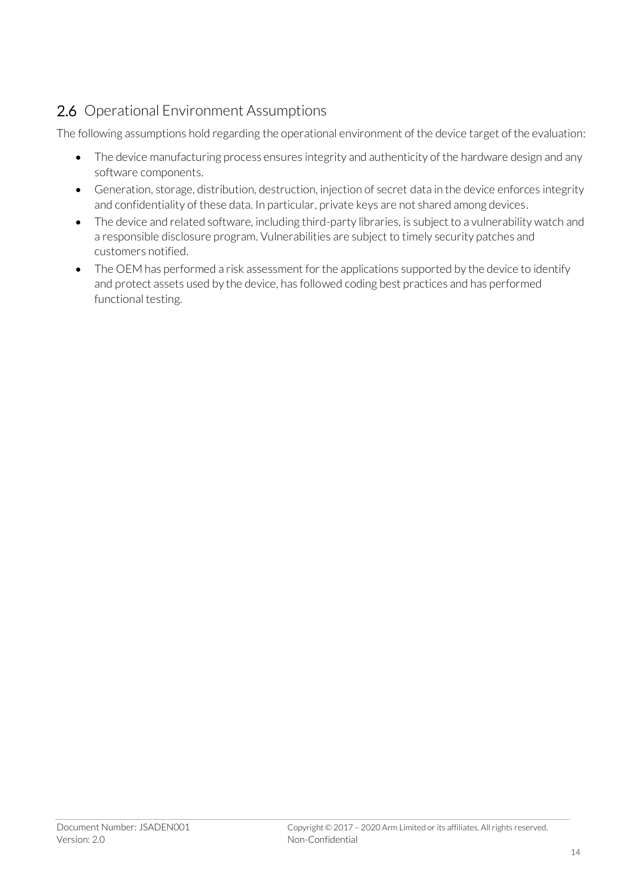## 2.6 Operational Environment Assumptions

The following assumptions hold regarding the operational environment of the device target of the evaluation:

- The device manufacturing process ensures integrity and authenticity of the hardware design and any software components.
- Generation, storage, distribution, destruction, injection of secret data in the device enforces integrity and confidentiality of these data. In particular, private keys are not shared among devices.
- The device and related software, including third-party libraries, is subject to a vulnerability watch and a responsible disclosure program. Vulnerabilities are subject to timely security patches and customers notified.
- The OEM has performed a risk assessment for the applications supported by the device to identify and protect assets used by the device, has followed coding best practices and has performed functional testing.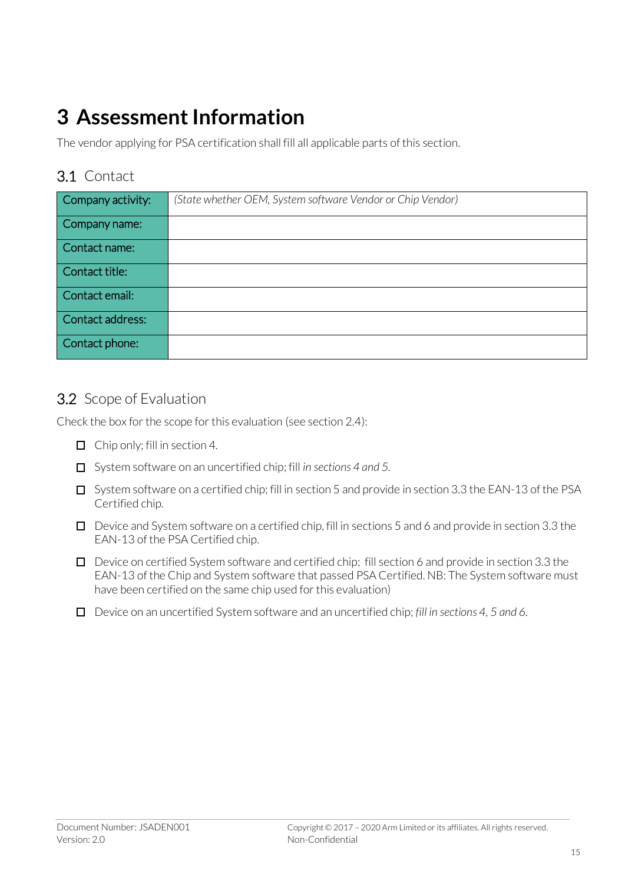# <span id="page-14-0"></span>**3 Assessment Information**

The vendor applying for PSA certification shall fill all applicable parts of this section.

#### <span id="page-14-1"></span>3.1 Contact

| Company activity: | (State whether OEM, System software Vendor or Chip Vendor) |
|-------------------|------------------------------------------------------------|
| Company name:     |                                                            |
| Contact name:     |                                                            |
| Contact title:    |                                                            |
| Contact email:    |                                                            |
| Contact address:  |                                                            |
| Contact phone:    |                                                            |

#### <span id="page-14-2"></span>3.2 Scope of Evaluation

Check the box for the scope for this evaluation (see sectio[n 2.4\)](#page-11-0):

- Chip only; fill in section [4](#page-19-0)*.*
- System software on an uncertified chip; fill *in section[s 4](#page-19-0) an[d 5.](#page-22-0)*
- $\Box$  System software on a certified chip; fill in sectio[n 5](#page-22-0) and provide in section [3.3](#page-15-0) the EAN-13 of the PSA Certified chip.
- $\Box$  Device and System software on a certified chip, fill in section[s 5](#page--1-0) an[d 6](#page-28-0) and provide in sectio[n 3.3](#page-15-0) the EAN-13 of the PSA Certified chip.
- $\Box$  Device on certified System software and certified chip; fill section [6](#page-28-0) and provide in sectio[n 3.3](#page-15-0) the EAN-13 of the Chip and System software that passed PSA Certified. NB: The System software must have been certified on the same chip used for this evaluation)
- Device on an uncertified System software and an uncertified chip; *fill in section[s 4,](#page-19-0) [5](#page-22-0) an[d 6.](#page-28-0)*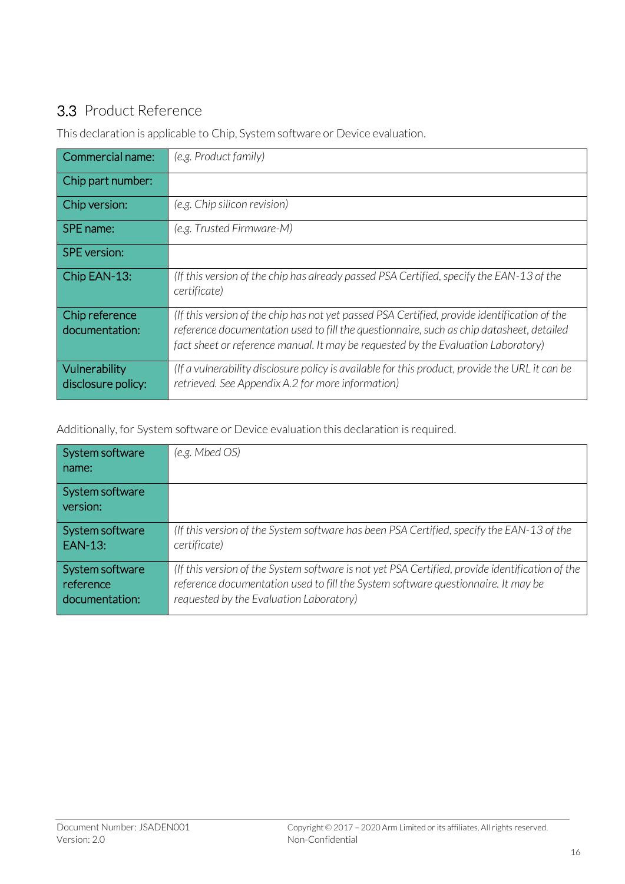## <span id="page-15-0"></span>3.3 Product Reference

This declaration is applicable to Chip, System software or Device evaluation.

| Commercial name:                    | (e.g. Product family)                                                                                                                                                                                                                                                         |
|-------------------------------------|-------------------------------------------------------------------------------------------------------------------------------------------------------------------------------------------------------------------------------------------------------------------------------|
| Chip part number:                   |                                                                                                                                                                                                                                                                               |
| Chip version:                       | (e.g. Chip silicon revision)                                                                                                                                                                                                                                                  |
| SPE name:                           | (e.g. Trusted Firmware-M)                                                                                                                                                                                                                                                     |
| <b>SPE</b> version:                 |                                                                                                                                                                                                                                                                               |
| Chip EAN-13:                        | (If this version of the chip has already passed PSA Certified, specify the EAN-13 of the<br>certificate)                                                                                                                                                                      |
| Chip reference<br>documentation:    | (If this version of the chip has not yet passed PSA Certified, provide identification of the<br>reference documentation used to fill the questionnaire, such as chip datasheet, detailed<br>fact sheet or reference manual. It may be requested by the Evaluation Laboratory) |
| Vulnerability<br>disclosure policy: | (If a vulnerability disclosure policy is available for this product, provide the URL it can be<br>retrieved. See Appendix A.2 for more information)                                                                                                                           |

Additionally, for System software or Device evaluation this declaration is required.

| System software<br>l name:  | (e.g. Mbed OS)                                                                                  |
|-----------------------------|-------------------------------------------------------------------------------------------------|
| System software<br>version: |                                                                                                 |
| System software             | (If this version of the System software has been PSA Certified, specify the EAN-13 of the       |
| EAN-13:                     | certificate)                                                                                    |
| System software             | (If this version of the System software is not yet PSA Certified, provide identification of the |
| reference                   | reference documentation used to fill the System software questionnaire. It may be               |
| documentation:              | requested by the Evaluation Laboratory)                                                         |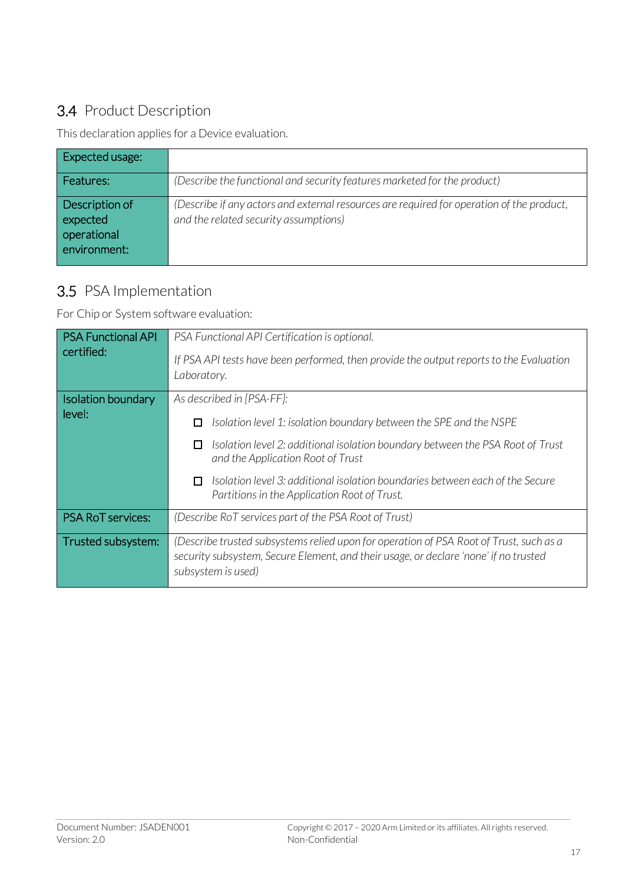## 3.4 Product Description

This declaration applies for a Device evaluation.

| Expected usage:                                           |                                                                                                                                    |
|-----------------------------------------------------------|------------------------------------------------------------------------------------------------------------------------------------|
| Features:                                                 | (Describe the functional and security features marketed for the product)                                                           |
| Description of<br>expected<br>operational<br>environment: | (Describe if any actors and external resources are required for operation of the product,<br>and the related security assumptions) |

#### 3.5 PSA Implementation

For Chip or System software evaluation:

| <b>PSA Functional API</b><br>certified: | PSA Functional API Certification is optional.<br>If PSA API tests have been performed, then provide the output reports to the Evaluation<br>Laboratory.                                                                                                                                                                                                                |
|-----------------------------------------|------------------------------------------------------------------------------------------------------------------------------------------------------------------------------------------------------------------------------------------------------------------------------------------------------------------------------------------------------------------------|
| <b>Isolation boundary</b><br>level:     | As described in [PSA-FF]:<br>Isolation level 1: isolation boundary between the SPE and the NSPE<br>П<br>Isolation level 2: additional isolation boundary between the PSA Root of Trust<br>□<br>and the Application Root of Trust<br>Isolation level 3: additional isolation boundaries between each of the Secure<br>0<br>Partitions in the Application Root of Trust. |
| <b>PSA RoT services:</b>                | (Describe RoT services part of the PSA Root of Trust)                                                                                                                                                                                                                                                                                                                  |
| Trusted subsystem:                      | (Describe trusted subsystems relied upon for operation of PSA Root of Trust, such as a<br>security subsystem, Secure Element, and their usage, or declare 'none' if no trusted<br>subsystem is used)                                                                                                                                                                   |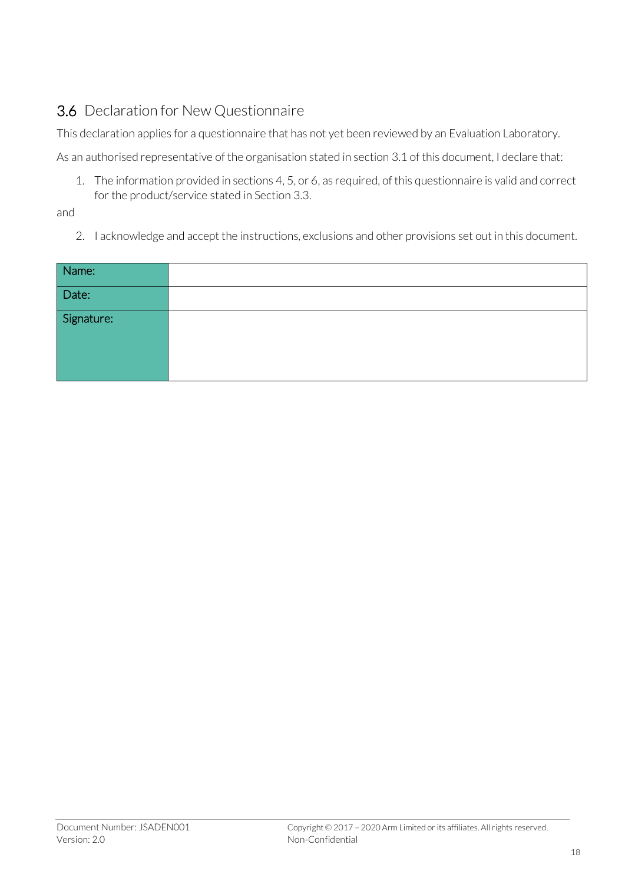## 3.6 Declaration for New Questionnaire

This declaration applies for a questionnaire that has not yet been reviewed by an Evaluation Laboratory.

As an authorised representative of the organisation stated in section [3.1](#page-14-1) of this document, I declare that:

1. The information provided in section[s 4,](#page-19-0) [5,](#page-22-0) o[r 6,](#page-28-0) as required, of this questionnaire is valid and correct for the product/service stated in Sectio[n 3.3.](#page-15-0)

and

2. I acknowledge and accept the instructions, exclusions and other provisions set out in this document.

| Name:                                      |  |
|--------------------------------------------|--|
| $\boxed{\frac{\phantom{1}}{\text{Date:}}}$ |  |
| Signature:                                 |  |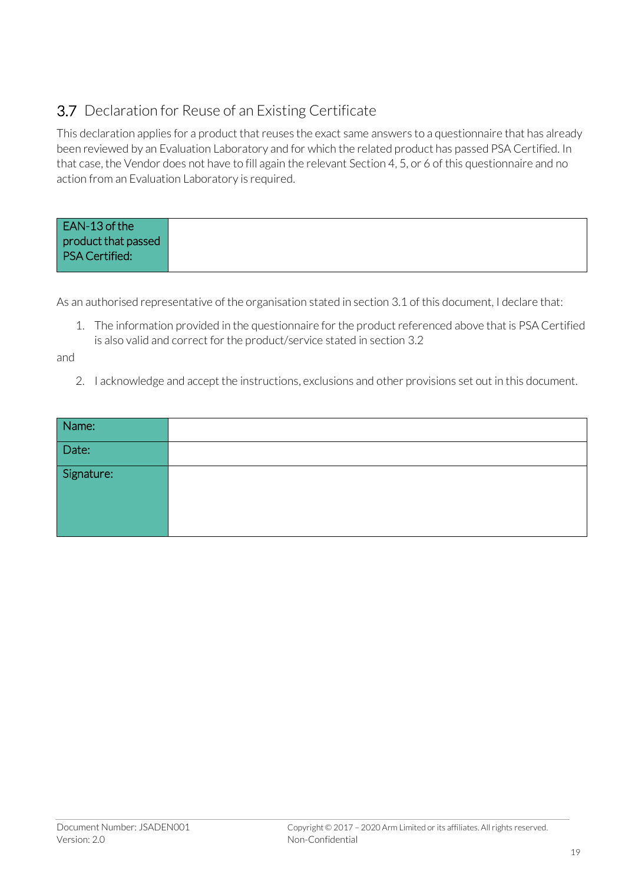## 3.7 Declaration for Reuse of an Existing Certificate

This declaration applies for a product that reuses the exact same answers to a questionnaire that has already been reviewed by an Evaluation Laboratory and for which the related product has passed PSA Certified. In that case, the Vendor does not have to fill again the relevant Section [4,](#page-19-0) [5,](#page-22-0) o[r 6](#page-28-0) of this questionnaire and no action from an Evaluation Laboratory is required.

| EAN-13 of the         |  |
|-----------------------|--|
| product that passed   |  |
| <b>PSA Certified:</b> |  |
|                       |  |

As an authorised representative of the organisation stated in section [3.1](#page-14-1) of this document, I declare that:

1. The information provided in the questionnaire for the product referenced above that is PSA Certified is also valid and correct for the product/service stated in sectio[n 3.2](#page-14-2)

and

2. I acknowledge and accept the instructions, exclusions and other provisions set out in this document.

| Name:      |  |
|------------|--|
| Date:      |  |
| Signature: |  |
|            |  |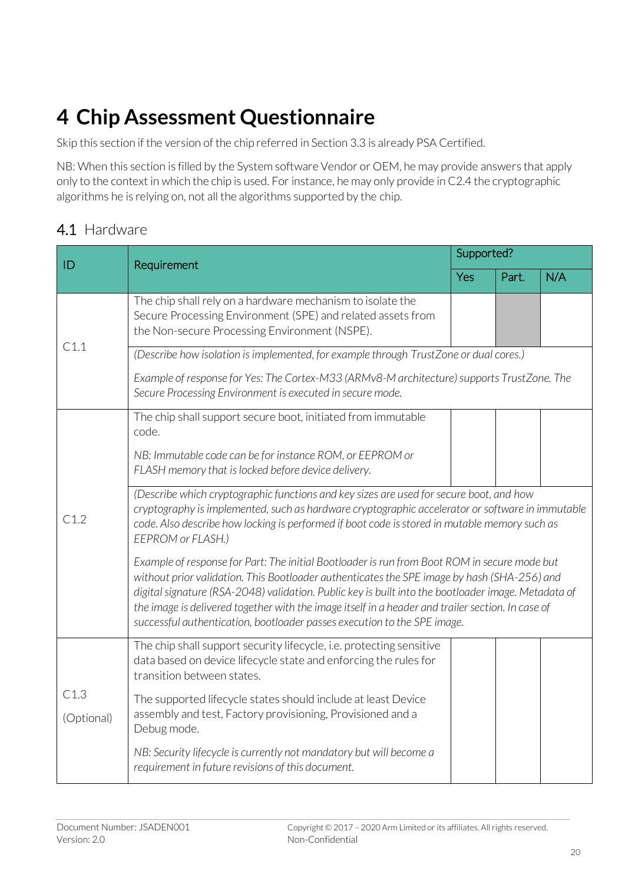# <span id="page-19-0"></span>**4 Chip Assessment Questionnaire**

Skip this section if the version of the chip referred in Section 3.3 is already PSA Certified.

NB: When this section is filled by the System software Vendor or OEM, he may provide answers that apply only to the context in which the chip is used. For instance, he may only provide in C2.4 the cryptographic algorithms he is relying on, not all the algorithms supported by the chip.

#### 4.1 Hardware

| ID                 | Requirement                                                                                                                                                                                                                                                                                                                                                                                                                                                                         | Supported? |       |     |
|--------------------|-------------------------------------------------------------------------------------------------------------------------------------------------------------------------------------------------------------------------------------------------------------------------------------------------------------------------------------------------------------------------------------------------------------------------------------------------------------------------------------|------------|-------|-----|
|                    |                                                                                                                                                                                                                                                                                                                                                                                                                                                                                     | Yes        | Part. | N/A |
|                    | The chip shall rely on a hardware mechanism to isolate the<br>Secure Processing Environment (SPE) and related assets from<br>the Non-secure Processing Environment (NSPE).                                                                                                                                                                                                                                                                                                          |            |       |     |
| C1.1               | (Describe how isolation is implemented, for example through TrustZone or dual cores.)                                                                                                                                                                                                                                                                                                                                                                                               |            |       |     |
|                    | Example of response for Yes: The Cortex-M33 (ARMv8-M architecture) supports TrustZone. The<br>Secure Processing Environment is executed in secure mode.                                                                                                                                                                                                                                                                                                                             |            |       |     |
|                    | The chip shall support secure boot, initiated from immutable<br>code.                                                                                                                                                                                                                                                                                                                                                                                                               |            |       |     |
| C1.2               | NB: Immutable code can be for instance ROM, or EEPROM or<br>FLASH memory that is locked before device delivery.                                                                                                                                                                                                                                                                                                                                                                     |            |       |     |
|                    | (Describe which cryptographic functions and key sizes are used for secure boot, and how<br>cryptography is implemented, such as hardware cryptographic accelerator or software in immutable<br>code. Also describe how locking is performed if boot code is stored in mutable memory such as<br>EEPROM or FLASH.)                                                                                                                                                                   |            |       |     |
|                    | Example of response for Part: The initial Bootloader is run from Boot ROM in secure mode but<br>without prior validation. This Bootloader authenticates the SPE image by hash (SHA-256) and<br>digital signature (RSA-2048) validation. Public key is built into the bootloader image. Metadata of<br>the image is delivered together with the image itself in a header and trailer section. In case of<br>successful authentication, bootloader passes execution to the SPE image. |            |       |     |
| C1.3<br>(Optional) | The chip shall support security lifecycle, i.e. protecting sensitive<br>data based on device lifecycle state and enforcing the rules for<br>transition between states.                                                                                                                                                                                                                                                                                                              |            |       |     |
|                    | The supported lifecycle states should include at least Device<br>assembly and test, Factory provisioning, Provisioned and a<br>Debug mode.                                                                                                                                                                                                                                                                                                                                          |            |       |     |
|                    | NB: Security lifecycle is currently not mandatory but will become a<br>requirement in future revisions of this document.                                                                                                                                                                                                                                                                                                                                                            |            |       |     |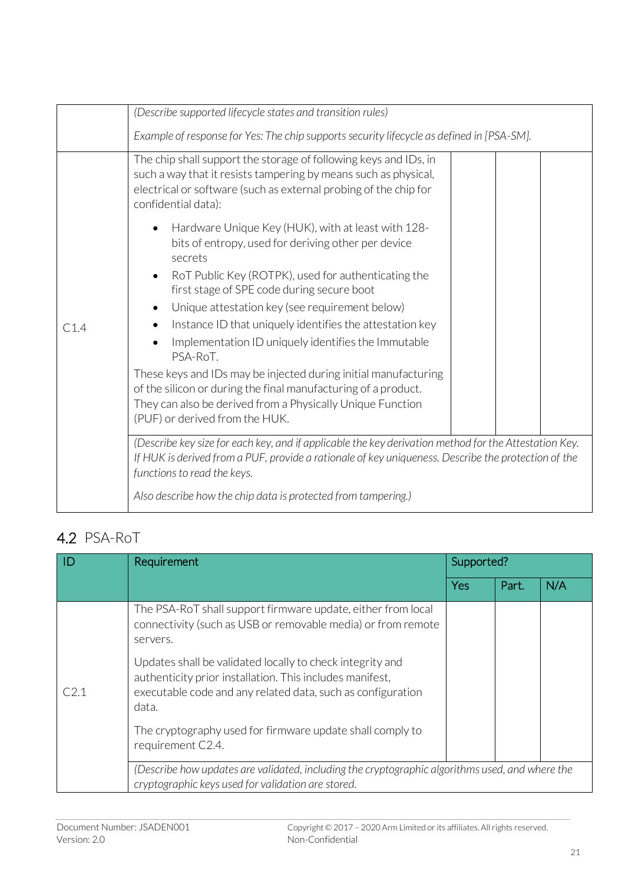|      | (Describe supported lifecycle states and transition rules)                                                                                                                                                                                  |
|------|---------------------------------------------------------------------------------------------------------------------------------------------------------------------------------------------------------------------------------------------|
|      | Example of response for Yes: The chip supports security lifecycle as defined in [PSA-SM].                                                                                                                                                   |
|      | The chip shall support the storage of following keys and IDs, in<br>such a way that it resists tampering by means such as physical,<br>electrical or software (such as external probing of the chip for<br>confidential data):              |
|      | Hardware Unique Key (HUK), with at least with 128-<br>bits of entropy, used for deriving other per device<br>secrets<br>RoT Public Key (ROTPK), used for authenticating the                                                                 |
|      | first stage of SPE code during secure boot                                                                                                                                                                                                  |
|      | Unique attestation key (see requirement below)                                                                                                                                                                                              |
| C1.4 | Instance ID that uniquely identifies the attestation key                                                                                                                                                                                    |
|      | Implementation ID uniquely identifies the Immutable<br>PSA-RoT.                                                                                                                                                                             |
|      | These keys and IDs may be injected during initial manufacturing<br>of the silicon or during the final manufacturing of a product.<br>They can also be derived from a Physically Unique Function<br>(PUF) or derived from the HUK.           |
|      | (Describe key size for each key, and if applicable the key derivation method for the Attestation Key.<br>If HUK is derived from a PUF, provide a rationale of key uniqueness. Describe the protection of the<br>functions to read the keys. |
|      | Also describe how the chip data is protected from tampering.)                                                                                                                                                                               |

## 4.2 PSA-RoT

|      | Requirement                                                                                                                                                                                   | Supported? |       |     |
|------|-----------------------------------------------------------------------------------------------------------------------------------------------------------------------------------------------|------------|-------|-----|
|      |                                                                                                                                                                                               | Yes        | Part. | N/A |
| C2.1 | The PSA-RoT shall support firmware update, either from local<br>connectivity (such as USB or removable media) or from remote<br>servers.                                                      |            |       |     |
|      | Updates shall be validated locally to check integrity and<br>authenticity prior installation. This includes manifest,<br>executable code and any related data, such as configuration<br>data. |            |       |     |
|      | The cryptography used for firmware update shall comply to<br>requirement C2.4.                                                                                                                |            |       |     |
|      | (Describe how updates are validated, including the cryptographic algorithms used, and where the<br>cryptographic keys used for validation are stored.                                         |            |       |     |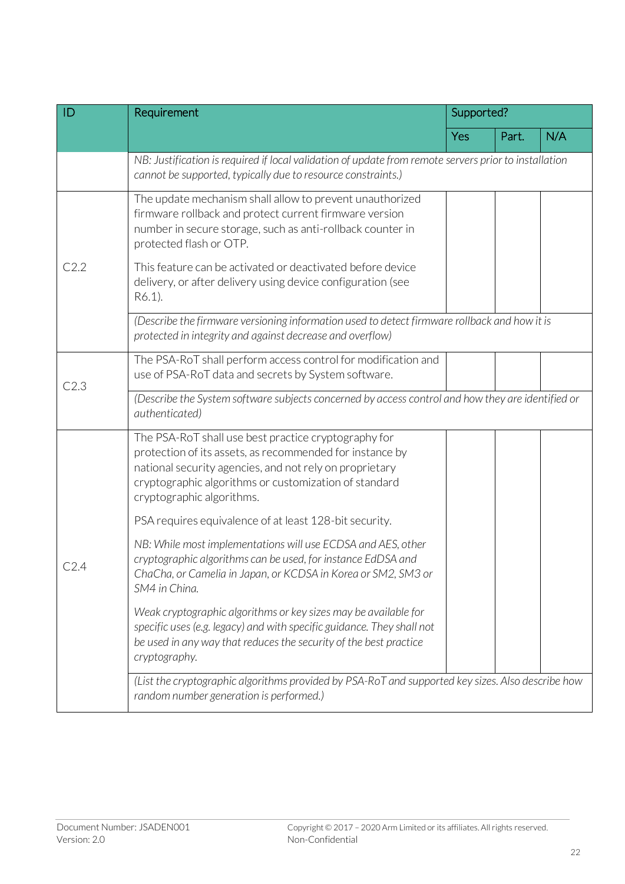| ID   | Requirement                                                                                                                                                                                                                                                       | Supported? |       |     |  |
|------|-------------------------------------------------------------------------------------------------------------------------------------------------------------------------------------------------------------------------------------------------------------------|------------|-------|-----|--|
|      |                                                                                                                                                                                                                                                                   | <b>Yes</b> | Part. | N/A |  |
|      | NB: Justification is required if local validation of update from remote servers prior to installation<br>cannot be supported, typically due to resource constraints.)                                                                                             |            |       |     |  |
| C2.2 | The update mechanism shall allow to prevent unauthorized<br>firmware rollback and protect current firmware version<br>number in secure storage, such as anti-rollback counter in<br>protected flash or OTP.                                                       |            |       |     |  |
|      | This feature can be activated or deactivated before device<br>delivery, or after delivery using device configuration (see<br>R6.1).                                                                                                                               |            |       |     |  |
|      | (Describe the firmware versioning information used to detect firmware rollback and how it is<br>protected in integrity and against decrease and overflow)                                                                                                         |            |       |     |  |
| C2.3 | The PSA-RoT shall perform access control for modification and<br>use of PSA-RoT data and secrets by System software.                                                                                                                                              |            |       |     |  |
|      | (Describe the System software subjects concerned by access control and how they are identified or<br>authenticated)                                                                                                                                               |            |       |     |  |
|      | The PSA-RoT shall use best practice cryptography for<br>protection of its assets, as recommended for instance by<br>national security agencies, and not rely on proprietary<br>cryptographic algorithms or customization of standard<br>cryptographic algorithms. |            |       |     |  |
|      | PSA requires equivalence of at least 128-bit security.                                                                                                                                                                                                            |            |       |     |  |
| C2.4 | NB: While most implementations will use ECDSA and AES, other<br>cryptographic algorithms can be used, for instance EdDSA and<br>ChaCha, or Camelia in Japan, or KCDSA in Korea or SM2, SM3 or<br>SM4 in China.                                                    |            |       |     |  |
|      | Weak cryptographic algorithms or key sizes may be available for<br>specific uses (e.g. legacy) and with specific guidance. They shall not<br>be used in any way that reduces the security of the best practice<br>cryptography.                                   |            |       |     |  |
|      | (List the cryptographic algorithms provided by PSA-RoT and supported key sizes. Also describe how<br>random number generation is performed.)                                                                                                                      |            |       |     |  |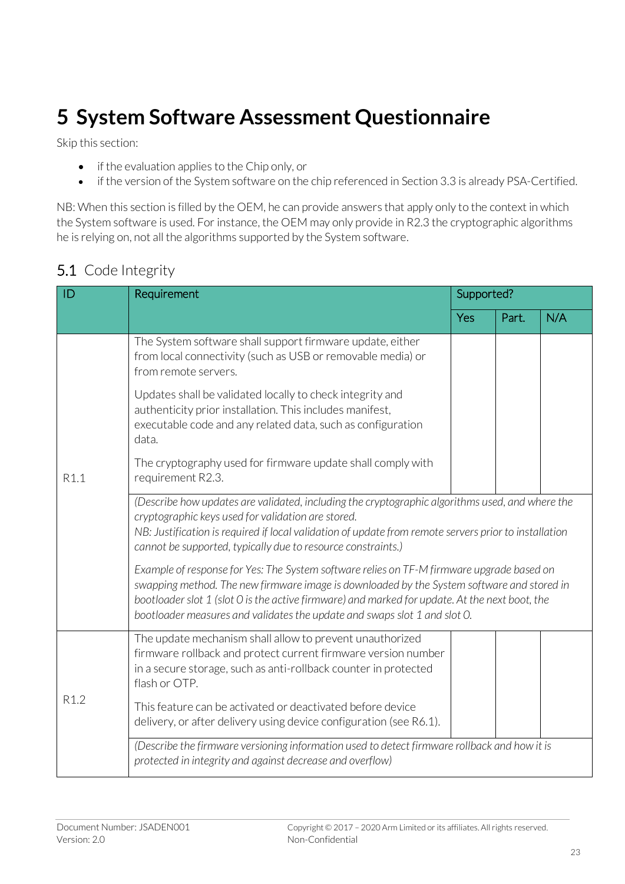# <span id="page-22-0"></span>**5 System Software Assessment Questionnaire**

Skip this section:

- if the evaluation applies to the Chip only, or
- if the version of the System software on the chip referenced in Sectio[n 3.3](#page--1-0) is already PSA-Certified.

NB: When this section is filled by the OEM, he can provide answers that apply only to the context in which the System software is used. For instance, the OEM may only provide in R2.3 the cryptographic algorithms he is relying on, not all the algorithms supported by the System software.

#### 5.1 Code Integrity

| ID               | Requirement                                                                                                                                                                                                                                                                                                                                                            | Supported? |       |     |
|------------------|------------------------------------------------------------------------------------------------------------------------------------------------------------------------------------------------------------------------------------------------------------------------------------------------------------------------------------------------------------------------|------------|-------|-----|
|                  |                                                                                                                                                                                                                                                                                                                                                                        | Yes        | Part. | N/A |
|                  | The System software shall support firmware update, either<br>from local connectivity (such as USB or removable media) or<br>from remote servers.                                                                                                                                                                                                                       |            |       |     |
|                  | Updates shall be validated locally to check integrity and<br>authenticity prior installation. This includes manifest,<br>executable code and any related data, such as configuration<br>data.                                                                                                                                                                          |            |       |     |
| R1.1             | The cryptography used for firmware update shall comply with<br>requirement R2.3.                                                                                                                                                                                                                                                                                       |            |       |     |
|                  | (Describe how updates are validated, including the cryptographic algorithms used, and where the<br>cryptographic keys used for validation are stored.<br>NB: Justification is required if local validation of update from remote servers prior to installation<br>cannot be supported, typically due to resource constraints.)                                         |            |       |     |
|                  | Example of response for Yes: The System software relies on TF-M firmware upgrade based on<br>swapping method. The new firmware image is downloaded by the System software and stored in<br>bootloader slot 1 (slot 0 is the active firmware) and marked for update. At the next boot, the<br>bootloader measures and validates the update and swaps slot 1 and slot O. |            |       |     |
| R <sub>1.2</sub> | The update mechanism shall allow to prevent unauthorized<br>firmware rollback and protect current firmware version number<br>in a secure storage, such as anti-rollback counter in protected<br>flash or OTP.                                                                                                                                                          |            |       |     |
|                  | This feature can be activated or deactivated before device<br>delivery, or after delivery using device configuration (see R6.1).                                                                                                                                                                                                                                       |            |       |     |
|                  | (Describe the firmware versioning information used to detect firmware rollback and how it is<br>protected in integrity and against decrease and overflow)                                                                                                                                                                                                              |            |       |     |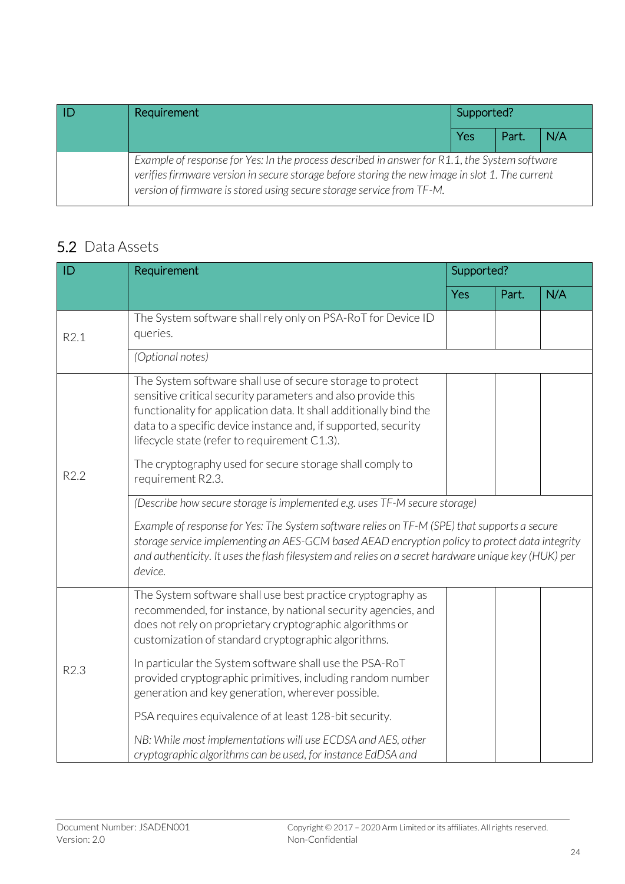| Requirement                                                                                                                                                                                                                                                               | Supported? |       |     |
|---------------------------------------------------------------------------------------------------------------------------------------------------------------------------------------------------------------------------------------------------------------------------|------------|-------|-----|
|                                                                                                                                                                                                                                                                           | Yes        | Part. | N/A |
| Example of response for Yes: In the process described in answer for R1.1, the System software<br>verifies firmware version in secure storage before storing the new image in slot 1. The current<br>version of firmware is stored using secure storage service from TF-M. |            |       |     |

#### 5.2 Data Assets

| ID   | Requirement                                                                                                                                                                                                                                                                                                                                                                                                                                                                       | Supported? |       |     |
|------|-----------------------------------------------------------------------------------------------------------------------------------------------------------------------------------------------------------------------------------------------------------------------------------------------------------------------------------------------------------------------------------------------------------------------------------------------------------------------------------|------------|-------|-----|
|      |                                                                                                                                                                                                                                                                                                                                                                                                                                                                                   | Yes        | Part. | N/A |
| R2.1 | The System software shall rely only on PSA-RoT for Device ID<br>queries.                                                                                                                                                                                                                                                                                                                                                                                                          |            |       |     |
|      | (Optional notes)                                                                                                                                                                                                                                                                                                                                                                                                                                                                  |            |       |     |
| R2.2 | The System software shall use of secure storage to protect<br>sensitive critical security parameters and also provide this<br>functionality for application data. It shall additionally bind the<br>data to a specific device instance and, if supported, security<br>lifecycle state (refer to requirement C1.3).<br>The cryptography used for secure storage shall comply to<br>requirement R2.3.<br>(Describe how secure storage is implemented e.g. uses TF-M secure storage) |            |       |     |
|      | Example of response for Yes: The System software relies on TF-M (SPE) that supports a secure<br>storage service implementing an AES-GCM based AEAD encryption policy to protect data integrity<br>and authenticity. It uses the flash filesystem and relies on a secret hardware unique key (HUK) per<br>device.                                                                                                                                                                  |            |       |     |
|      | The System software shall use best practice cryptography as<br>recommended, for instance, by national security agencies, and<br>does not rely on proprietary cryptographic algorithms or<br>customization of standard cryptographic algorithms.                                                                                                                                                                                                                                   |            |       |     |
| R2.3 | In particular the System software shall use the PSA-RoT<br>provided cryptographic primitives, including random number<br>generation and key generation, wherever possible.                                                                                                                                                                                                                                                                                                        |            |       |     |
|      | PSA requires equivalence of at least 128-bit security.                                                                                                                                                                                                                                                                                                                                                                                                                            |            |       |     |
|      | NB: While most implementations will use ECDSA and AES, other<br>cryptographic algorithms can be used, for instance EdDSA and                                                                                                                                                                                                                                                                                                                                                      |            |       |     |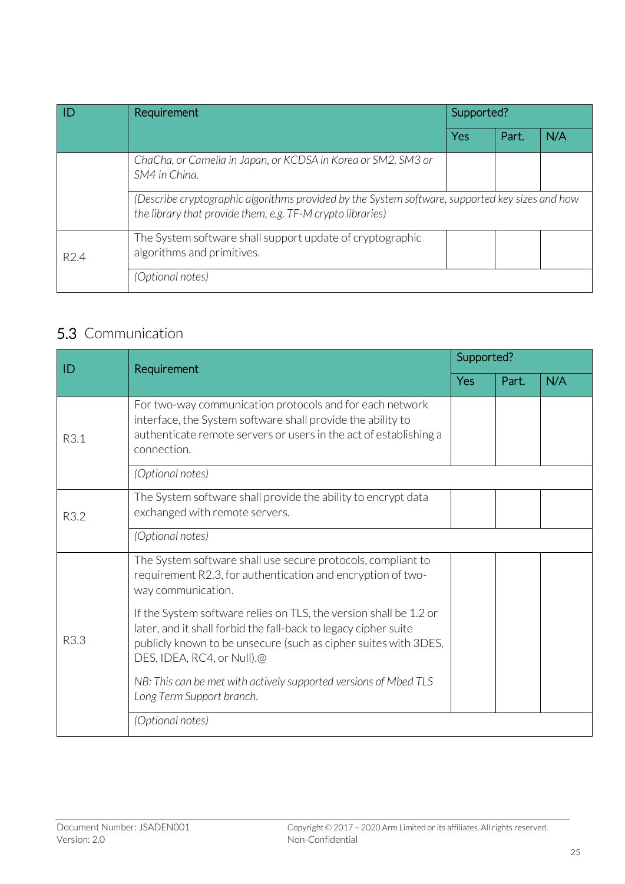|                  | Requirement                                                                                                                                                   | Supported? |       |     |  |
|------------------|---------------------------------------------------------------------------------------------------------------------------------------------------------------|------------|-------|-----|--|
|                  |                                                                                                                                                               | Yes        | Part. | N/A |  |
|                  | ChaCha, or Camelia in Japan, or KCDSA in Korea or SM2, SM3 or<br>SM4 in China.                                                                                |            |       |     |  |
|                  | (Describe cryptographic algorithms provided by the System software, supported key sizes and how<br>the library that provide them, e.g. TF-M crypto libraries) |            |       |     |  |
| R <sub>2.4</sub> | The System software shall support update of cryptographic<br>algorithms and primitives.                                                                       |            |       |     |  |
|                  | (Optional notes)                                                                                                                                              |            |       |     |  |

## 5.3 Communication

| ID   | Requirement                                                                                                                                                                                                                           | Supported? |       |     |
|------|---------------------------------------------------------------------------------------------------------------------------------------------------------------------------------------------------------------------------------------|------------|-------|-----|
|      |                                                                                                                                                                                                                                       | Yes        | Part. | N/A |
| R3.1 | For two-way communication protocols and for each network<br>interface, the System software shall provide the ability to<br>authenticate remote servers or users in the act of establishing a<br>connection.                           |            |       |     |
|      | (Optional notes)                                                                                                                                                                                                                      |            |       |     |
| R3.2 | The System software shall provide the ability to encrypt data<br>exchanged with remote servers.                                                                                                                                       |            |       |     |
|      | (Optional notes)                                                                                                                                                                                                                      |            |       |     |
|      | The System software shall use secure protocols, compliant to<br>requirement R2.3, for authentication and encryption of two-<br>way communication.                                                                                     |            |       |     |
| R3.3 | If the System software relies on TLS, the version shall be 1.2 or<br>later, and it shall forbid the fall-back to legacy cipher suite<br>publicly known to be unsecure (such as cipher suites with 3DES,<br>DES, IDEA, RC4, or Null).@ |            |       |     |
|      | NB: This can be met with actively supported versions of Mbed TLS<br>Long Term Support branch.                                                                                                                                         |            |       |     |
|      | (Optional notes)                                                                                                                                                                                                                      |            |       |     |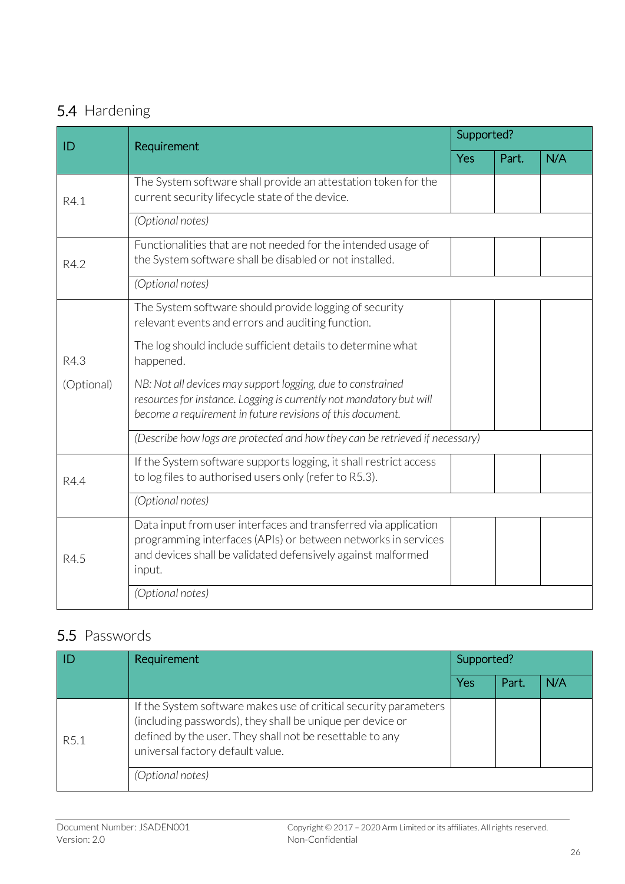### 5.4 Hardening

| ID         | Requirement                                                                                                                                                                                                | Supported? |       |     |
|------------|------------------------------------------------------------------------------------------------------------------------------------------------------------------------------------------------------------|------------|-------|-----|
|            |                                                                                                                                                                                                            | <b>Yes</b> | Part. | N/A |
| R4.1       | The System software shall provide an attestation token for the<br>current security lifecycle state of the device.                                                                                          |            |       |     |
|            | (Optional notes)                                                                                                                                                                                           |            |       |     |
| R4.2       | Functionalities that are not needed for the intended usage of<br>the System software shall be disabled or not installed.                                                                                   |            |       |     |
|            | (Optional notes)                                                                                                                                                                                           |            |       |     |
|            | The System software should provide logging of security<br>relevant events and errors and auditing function.                                                                                                |            |       |     |
| R4.3       | The log should include sufficient details to determine what<br>happened.                                                                                                                                   |            |       |     |
| (Optional) | NB: Not all devices may support logging, due to constrained<br>resources for instance. Logging is currently not mandatory but will<br>become a requirement in future revisions of this document.           |            |       |     |
|            | (Describe how logs are protected and how they can be retrieved if necessary)                                                                                                                               |            |       |     |
| R4.4       | If the System software supports logging, it shall restrict access<br>to log files to authorised users only (refer to R5.3).                                                                                |            |       |     |
|            | (Optional notes)                                                                                                                                                                                           |            |       |     |
| R4.5       | Data input from user interfaces and transferred via application<br>programming interfaces (APIs) or between networks in services<br>and devices shall be validated defensively against malformed<br>input. |            |       |     |
|            | (Optional notes)                                                                                                                                                                                           |            |       |     |

## 5.5 Passwords

|      | Requirement                                                                                                                                                                                                                   | Supported? |       |     |
|------|-------------------------------------------------------------------------------------------------------------------------------------------------------------------------------------------------------------------------------|------------|-------|-----|
|      |                                                                                                                                                                                                                               | Yes        | Part. | N/A |
| R5.1 | If the System software makes use of critical security parameters<br>(including passwords), they shall be unique per device or<br>defined by the user. They shall not be resettable to any<br>universal factory default value. |            |       |     |
|      | (Optional notes)                                                                                                                                                                                                              |            |       |     |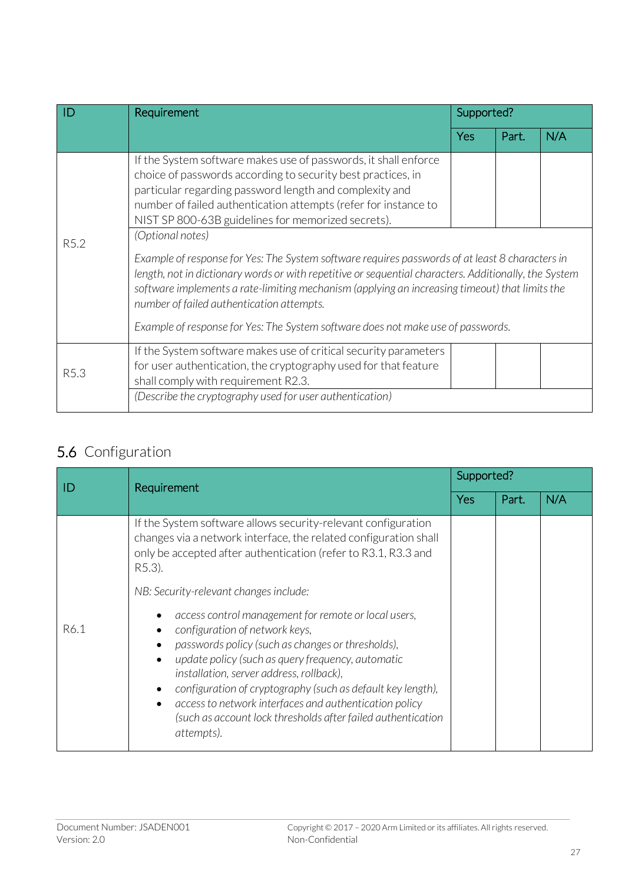| ID               | Requirement                                                                                                                                                                                                                                                                                                                                                                                                                                                                                                                                                                                                                                                                                                                                                                            | Supported? |       |     |
|------------------|----------------------------------------------------------------------------------------------------------------------------------------------------------------------------------------------------------------------------------------------------------------------------------------------------------------------------------------------------------------------------------------------------------------------------------------------------------------------------------------------------------------------------------------------------------------------------------------------------------------------------------------------------------------------------------------------------------------------------------------------------------------------------------------|------------|-------|-----|
|                  |                                                                                                                                                                                                                                                                                                                                                                                                                                                                                                                                                                                                                                                                                                                                                                                        | <b>Yes</b> | Part. | N/A |
| R <sub>5.2</sub> | If the System software makes use of passwords, it shall enforce<br>choice of passwords according to security best practices, in<br>particular regarding password length and complexity and<br>number of failed authentication attempts (refer for instance to<br>NIST SP 800-63B guidelines for memorized secrets).<br>(Optional notes)<br>Example of response for Yes: The System software requires passwords of at least 8 characters in<br>length, not in dictionary words or with repetitive or sequential characters. Additionally, the System<br>software implements a rate-limiting mechanism (applying an increasing timeout) that limits the<br>number of failed authentication attempts.<br>Example of response for Yes: The System software does not make use of passwords. |            |       |     |
| R5.3             | If the System software makes use of critical security parameters<br>for user authentication, the cryptography used for that feature<br>shall comply with requirement R2.3.<br>(Describe the cryptography used for user authentication)                                                                                                                                                                                                                                                                                                                                                                                                                                                                                                                                                 |            |       |     |

## 5.6 Configuration

| ID   | Requirement                                                                                                                                                                                                                                                                                                                                                                                                                                                                                             | Supported? |       |     |
|------|---------------------------------------------------------------------------------------------------------------------------------------------------------------------------------------------------------------------------------------------------------------------------------------------------------------------------------------------------------------------------------------------------------------------------------------------------------------------------------------------------------|------------|-------|-----|
|      |                                                                                                                                                                                                                                                                                                                                                                                                                                                                                                         | Yes        | Part. | N/A |
|      | If the System software allows security-relevant configuration<br>changes via a network interface, the related configuration shall<br>only be accepted after authentication (refer to R3.1, R3.3 and<br>R5.3).                                                                                                                                                                                                                                                                                           |            |       |     |
|      | NB: Security-relevant changes include:                                                                                                                                                                                                                                                                                                                                                                                                                                                                  |            |       |     |
| R6.1 | access control management for remote or local users,<br>configuration of network keys,<br>passwords policy (such as changes or thresholds),<br>$\bullet$<br>update policy (such as query frequency, automatic<br>$\bullet$<br>installation, server address, rollback),<br>configuration of cryptography (such as default key length),<br>$\bullet$<br>access to network interfaces and authentication policy<br>$\bullet$<br>(such as account lock thresholds after failed authentication<br>attempts). |            |       |     |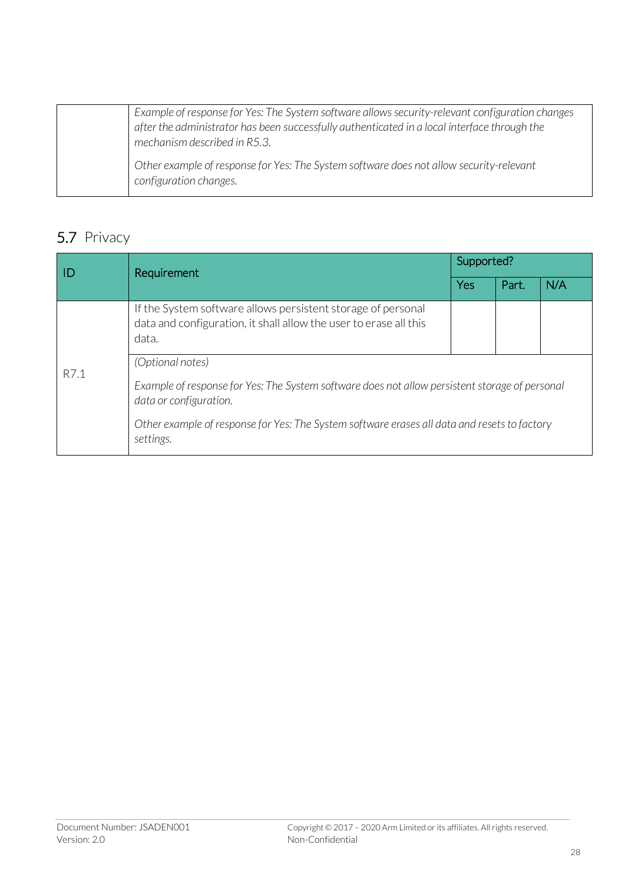| Example of response for Yes: The System software allows security-relevant configuration changes<br>after the administrator has been successfully authenticated in a local interface through the<br>mechanism described in R5.3. |
|---------------------------------------------------------------------------------------------------------------------------------------------------------------------------------------------------------------------------------|
| Other example of response for Yes: The System software does not allow security-relevant<br>configuration changes.                                                                                                               |

## 5.7 Privacy

| l ID | Requirement                                                                                                                                | Supported? |       |     |  |  |
|------|--------------------------------------------------------------------------------------------------------------------------------------------|------------|-------|-----|--|--|
|      |                                                                                                                                            | Yes        | Part. | N/A |  |  |
|      | If the System software allows persistent storage of personal<br>data and configuration, it shall allow the user to erase all this<br>data. |            |       |     |  |  |
| R7.1 | (Optional notes)                                                                                                                           |            |       |     |  |  |
|      | Example of response for Yes: The System software does not allow persistent storage of personal<br>data or configuration.                   |            |       |     |  |  |
|      | Other example of response for Yes: The System software erases all data and resets to factory<br>settings.                                  |            |       |     |  |  |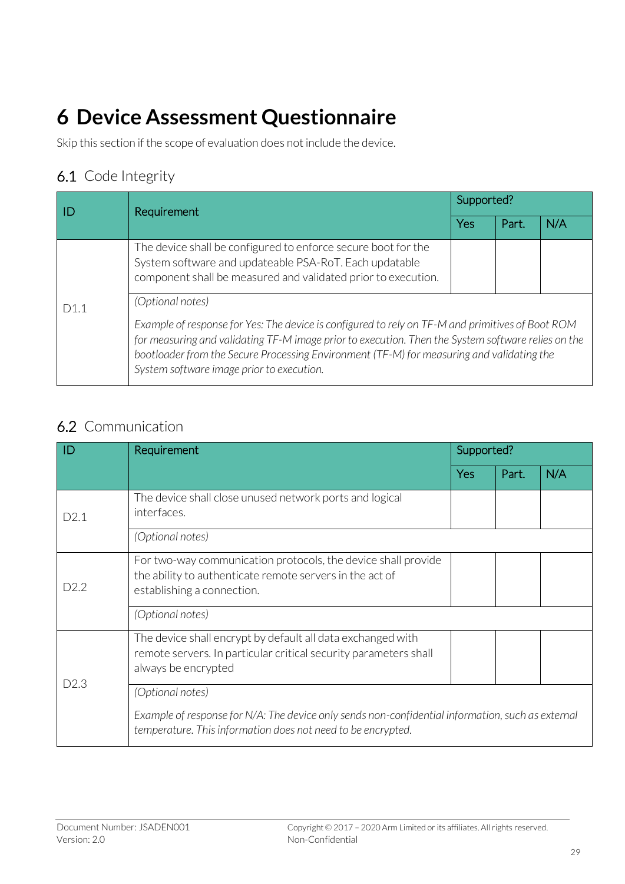# <span id="page-28-0"></span>**6 Device Assessment Questionnaire**

Skip this section if the scope of evaluation does not include the device.

#### 6.1 Code Integrity

|     | Requirement                                                                                                                                                                                                                                                                                                                                                          | Supported? |       |     |  |
|-----|----------------------------------------------------------------------------------------------------------------------------------------------------------------------------------------------------------------------------------------------------------------------------------------------------------------------------------------------------------------------|------------|-------|-----|--|
|     |                                                                                                                                                                                                                                                                                                                                                                      | Yes        | Part. | N/A |  |
|     | The device shall be configured to enforce secure boot for the<br>System software and updateable PSA-RoT. Each updatable<br>component shall be measured and validated prior to execution.                                                                                                                                                                             |            |       |     |  |
| D11 | (Optional notes)<br>Example of response for Yes: The device is configured to rely on TF-M and primitives of Boot ROM<br>for measuring and validating TF-M image prior to execution. Then the System software relies on the<br>bootloader from the Secure Processing Environment (TF-M) for measuring and validating the<br>System software image prior to execution. |            |       |     |  |

### 6.2 Communication

|      | Requirement                                                                                                                                                       | Supported? |       |     |
|------|-------------------------------------------------------------------------------------------------------------------------------------------------------------------|------------|-------|-----|
|      |                                                                                                                                                                   | Yes        | Part. | N/A |
| D2.1 | The device shall close unused network ports and logical<br>interfaces.                                                                                            |            |       |     |
|      | (Optional notes)                                                                                                                                                  |            |       |     |
| D2.2 | For two-way communication protocols, the device shall provide<br>the ability to authenticate remote servers in the act of<br>establishing a connection.           |            |       |     |
|      | (Optional notes)                                                                                                                                                  |            |       |     |
| D2.3 | The device shall encrypt by default all data exchanged with<br>remote servers. In particular critical security parameters shall<br>always be encrypted            |            |       |     |
|      | (Optional notes)                                                                                                                                                  |            |       |     |
|      | Example of response for N/A: The device only sends non-confidential information, such as external<br>temperature. This information does not need to be encrypted. |            |       |     |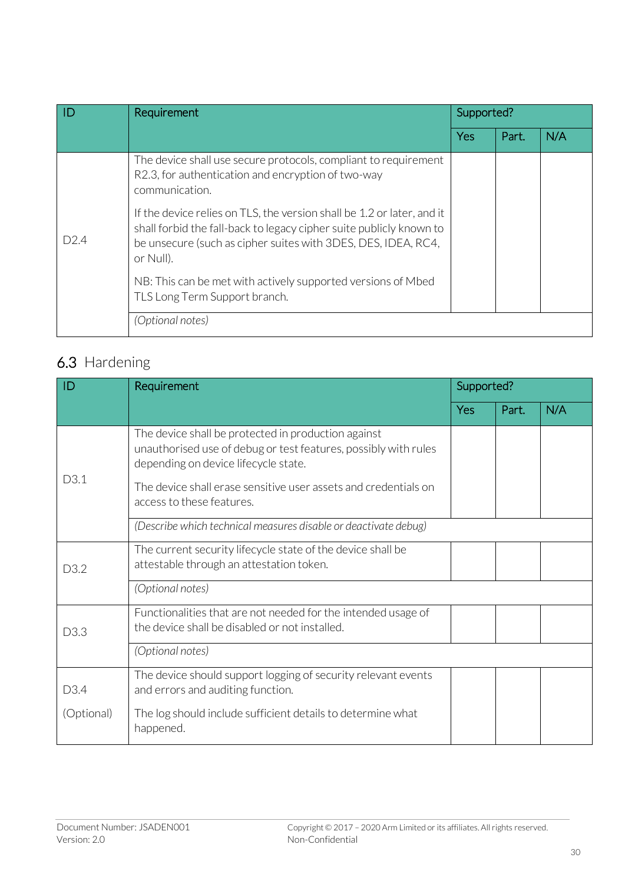| ID   | Requirement                                                                                                                                                                                                                 |     | Supported? |     |
|------|-----------------------------------------------------------------------------------------------------------------------------------------------------------------------------------------------------------------------------|-----|------------|-----|
|      |                                                                                                                                                                                                                             | Yes | Part.      | N/A |
|      | The device shall use secure protocols, compliant to requirement<br>R2.3, for authentication and encryption of two-way<br>communication.                                                                                     |     |            |     |
| D2.4 | If the device relies on TLS, the version shall be 1.2 or later, and it<br>shall forbid the fall-back to legacy cipher suite publicly known to<br>be unsecure (such as cipher suites with 3DES, DES, IDEA, RC4,<br>or Null). |     |            |     |
|      | NB: This can be met with actively supported versions of Mbed<br>TLS Long Term Support branch.                                                                                                                               |     |            |     |
|      | (Optional notes)                                                                                                                                                                                                            |     |            |     |

## 6.3 Hardening

| ID               | Requirement                                                                                                                                                    | Supported? |       |     |
|------------------|----------------------------------------------------------------------------------------------------------------------------------------------------------------|------------|-------|-----|
|                  |                                                                                                                                                                | <b>Yes</b> | Part. | N/A |
| D3.1             | The device shall be protected in production against<br>unauthorised use of debug or test features, possibly with rules<br>depending on device lifecycle state. |            |       |     |
|                  | The device shall erase sensitive user assets and credentials on<br>access to these features.                                                                   |            |       |     |
|                  | (Describe which technical measures disable or deactivate debug)                                                                                                |            |       |     |
| D <sub>3.2</sub> | The current security lifecycle state of the device shall be<br>attestable through an attestation token.                                                        |            |       |     |
|                  | (Optional notes)                                                                                                                                               |            |       |     |
| D3.3             | Functionalities that are not needed for the intended usage of<br>the device shall be disabled or not installed.                                                |            |       |     |
|                  | (Optional notes)                                                                                                                                               |            |       |     |
| D3.4             | The device should support logging of security relevant events<br>and errors and auditing function.                                                             |            |       |     |
| (Optional)       | The log should include sufficient details to determine what<br>happened.                                                                                       |            |       |     |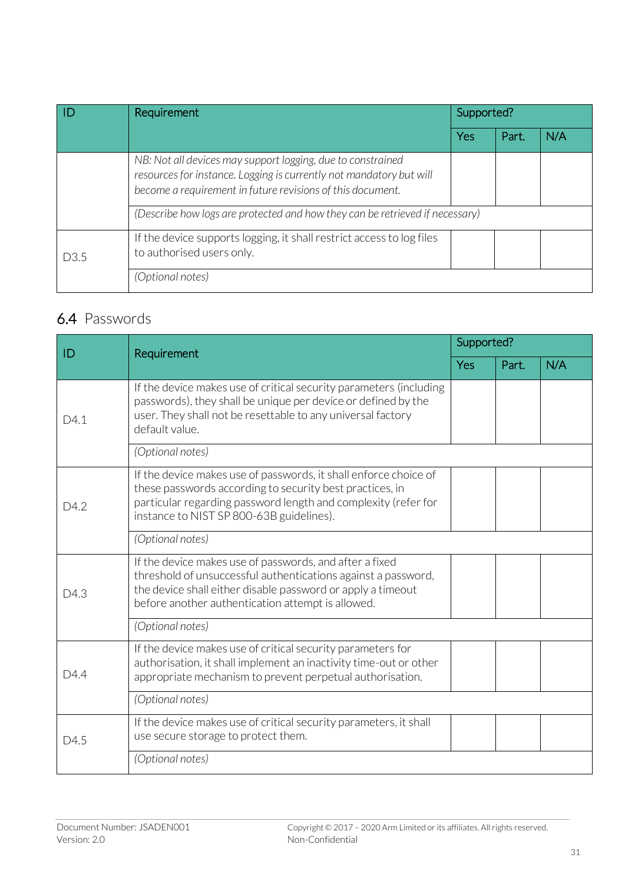|                  | Requirement                                                                                                                                                                                      | Supported? |       |     |
|------------------|--------------------------------------------------------------------------------------------------------------------------------------------------------------------------------------------------|------------|-------|-----|
|                  |                                                                                                                                                                                                  | Yes        | Part. | N/A |
|                  | NB: Not all devices may support logging, due to constrained<br>resources for instance. Logging is currently not mandatory but will<br>become a requirement in future revisions of this document. |            |       |     |
|                  | (Describe how logs are protected and how they can be retrieved if necessary)                                                                                                                     |            |       |     |
| D <sub>3.5</sub> | If the device supports logging, it shall restrict access to log files<br>to authorised users only.                                                                                               |            |       |     |
|                  | (Optional notes)                                                                                                                                                                                 |            |       |     |

### 6.4 Passwords

| ID   | Requirement                                                                                                                                                                                                                                  | Supported? |       |     |
|------|----------------------------------------------------------------------------------------------------------------------------------------------------------------------------------------------------------------------------------------------|------------|-------|-----|
|      |                                                                                                                                                                                                                                              |            | Part. | N/A |
| D4.1 | If the device makes use of critical security parameters (including<br>passwords), they shall be unique per device or defined by the<br>user. They shall not be resettable to any universal factory<br>default value.                         |            |       |     |
|      | (Optional notes)                                                                                                                                                                                                                             |            |       |     |
| D4.2 | If the device makes use of passwords, it shall enforce choice of<br>these passwords according to security best practices, in<br>particular regarding password length and complexity (refer for<br>instance to NIST SP 800-63B guidelines).   |            |       |     |
|      | (Optional notes)                                                                                                                                                                                                                             |            |       |     |
| D4.3 | If the device makes use of passwords, and after a fixed<br>threshold of unsuccessful authentications against a password,<br>the device shall either disable password or apply a timeout<br>before another authentication attempt is allowed. |            |       |     |
|      | (Optional notes)                                                                                                                                                                                                                             |            |       |     |
| D4.4 | If the device makes use of critical security parameters for<br>authorisation, it shall implement an inactivity time-out or other<br>appropriate mechanism to prevent perpetual authorisation.                                                |            |       |     |
|      | (Optional notes)                                                                                                                                                                                                                             |            |       |     |
| D4.5 | If the device makes use of critical security parameters, it shall<br>use secure storage to protect them.                                                                                                                                     |            |       |     |
|      | (Optional notes)                                                                                                                                                                                                                             |            |       |     |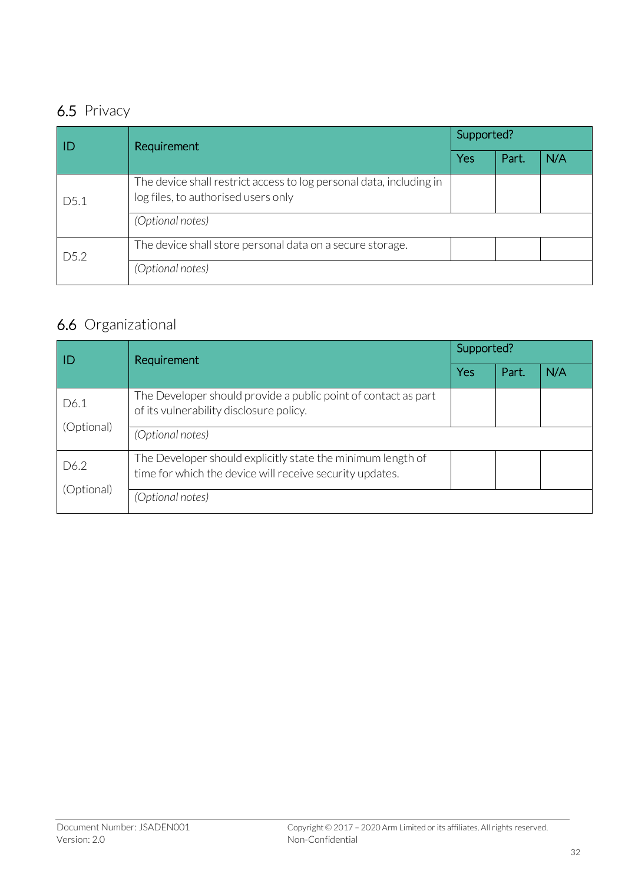### 6.5 Privacy

| ID               | Requirement                                                                                                | Supported? |       |     |
|------------------|------------------------------------------------------------------------------------------------------------|------------|-------|-----|
|                  |                                                                                                            | Yes        | Part. | N/A |
| D5.1             | The device shall restrict access to log personal data, including in<br>log files, to authorised users only |            |       |     |
|                  | (Optional notes)                                                                                           |            |       |     |
| D <sub>5.2</sub> | The device shall store personal data on a secure storage.                                                  |            |       |     |
|                  | (Optional notes)                                                                                           |            |       |     |

## 6.6 Organizational

| ID                 | Requirement                                                                                                             | Supported? |       |     |
|--------------------|-------------------------------------------------------------------------------------------------------------------------|------------|-------|-----|
|                    |                                                                                                                         | Yes        | Part. | N/A |
| D6.1<br>(Optional) | The Developer should provide a public point of contact as part<br>of its vulnerability disclosure policy.               |            |       |     |
|                    | (Optional notes)                                                                                                        |            |       |     |
| D6.2               | The Developer should explicitly state the minimum length of<br>time for which the device will receive security updates. |            |       |     |
| (Optional)         | (Optional notes)                                                                                                        |            |       |     |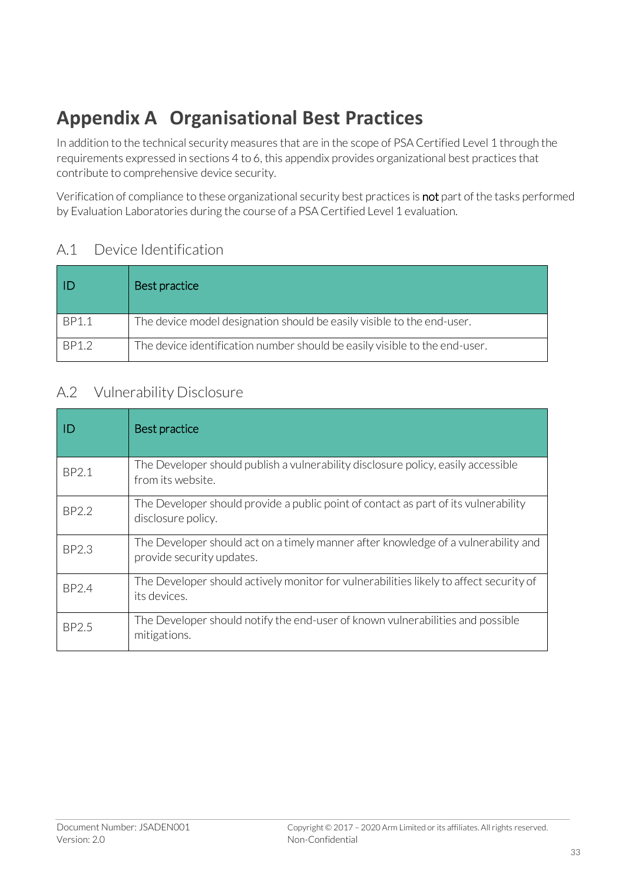# **Appendix A Organisational Best Practices**

In addition to the technical security measures that are in the scope of PSA Certified Level 1 through the requirements expressed in sections [4](#page-19-0) t[o 6,](#page-28-0) this appendix provides organizational best practices that contribute to comprehensive device security.

Verification of compliance to these organizational security best practices is not part of the tasks performed by Evaluation Laboratories during the course of a PSA Certified Level 1 evaluation.

#### A.1 Device Identification

|              | Best practice                                                              |
|--------------|----------------------------------------------------------------------------|
| <b>BP1.1</b> | The device model designation should be easily visible to the end-user.     |
| BP1.2        | The device identification number should be easily visible to the end-user. |

#### A.2 Vulnerability Disclosure

| Ð            | Best practice                                                                                                   |
|--------------|-----------------------------------------------------------------------------------------------------------------|
| BP2.1        | The Developer should publish a vulnerability disclosure policy, easily accessible<br>from its website.          |
| BP2.2        | The Developer should provide a public point of contact as part of its vulnerability<br>disclosure policy.       |
| <b>BP2.3</b> | The Developer should act on a timely manner after knowledge of a vulnerability and<br>provide security updates. |
| <b>BP2.4</b> | The Developer should actively monitor for vulnerabilities likely to affect security of<br>its devices.          |
| BP2.5        | The Developer should notify the end-user of known vulnerabilities and possible<br>mitigations.                  |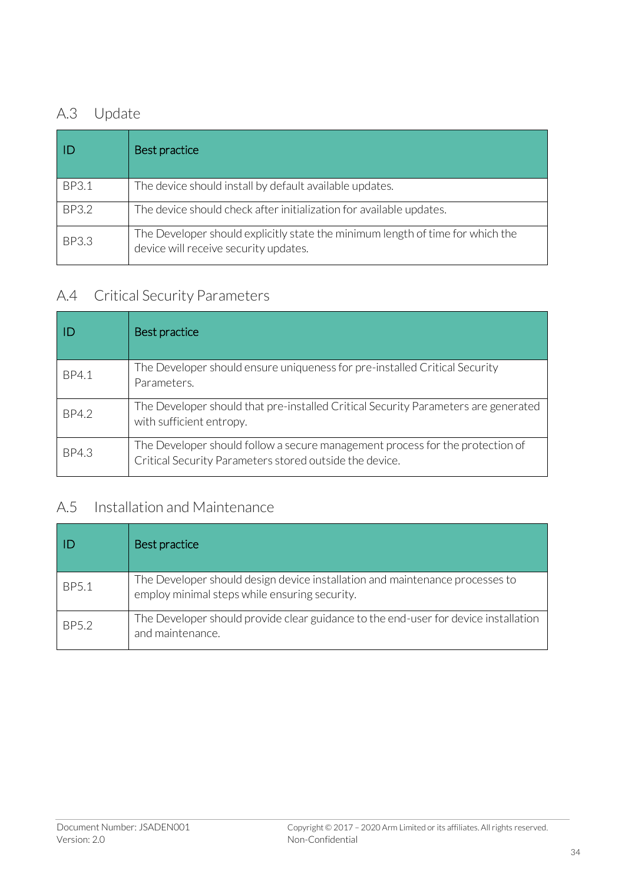### A.3 Update

|              | Best practice                                                                                                           |
|--------------|-------------------------------------------------------------------------------------------------------------------------|
| <b>BP3.1</b> | The device should install by default available updates.                                                                 |
| BP3.2        | The device should check after initialization for available updates.                                                     |
| <b>BP3.3</b> | The Developer should explicitly state the minimum length of time for which the<br>device will receive security updates. |

### A.4 Critical Security Parameters

|       | Best practice                                                                                                                            |
|-------|------------------------------------------------------------------------------------------------------------------------------------------|
| BP4.1 | The Developer should ensure uniqueness for pre-installed Critical Security<br>Parameters.                                                |
| BP4.2 | The Developer should that pre-installed Critical Security Parameters are generated<br>with sufficient entropy.                           |
| BP4.3 | The Developer should follow a secure management process for the protection of<br>Critical Security Parameters stored outside the device. |

### A.5 Installation and Maintenance

|       | Best practice                                                                                                                 |
|-------|-------------------------------------------------------------------------------------------------------------------------------|
| BP5.1 | The Developer should design device installation and maintenance processes to<br>employ minimal steps while ensuring security. |
| BP5.2 | The Developer should provide clear guidance to the end-user for device installation<br>and maintenance.                       |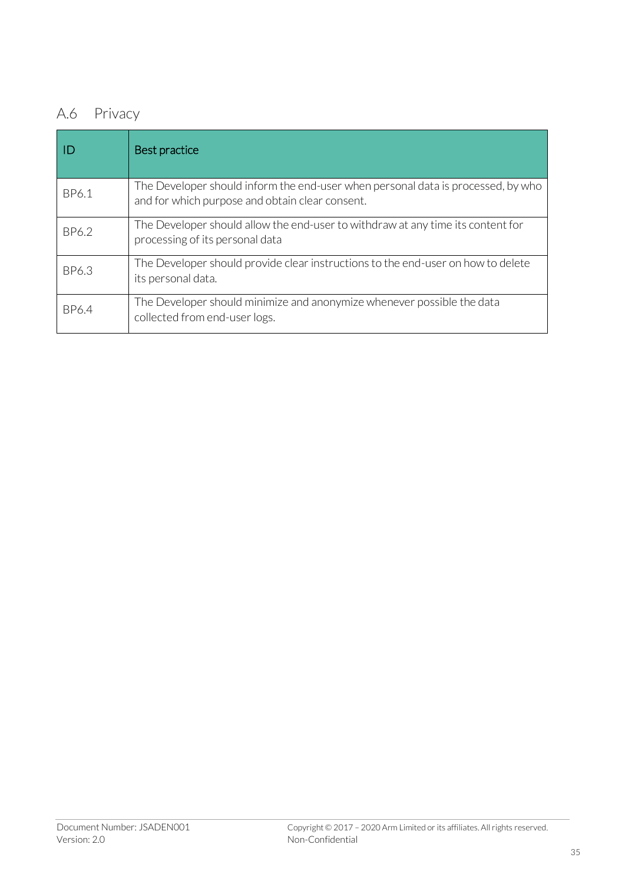## A.6 Privacy

|       | Best practice                                                                                                                       |
|-------|-------------------------------------------------------------------------------------------------------------------------------------|
| BP6.1 | The Developer should inform the end-user when personal data is processed, by who<br>and for which purpose and obtain clear consent. |
| BP6.2 | The Developer should allow the end-user to withdraw at any time its content for<br>processing of its personal data                  |
| BP6.3 | The Developer should provide clear instructions to the end-user on how to delete<br>its personal data.                              |
| BP6.4 | The Developer should minimize and anonymize whenever possible the data<br>collected from end-user logs.                             |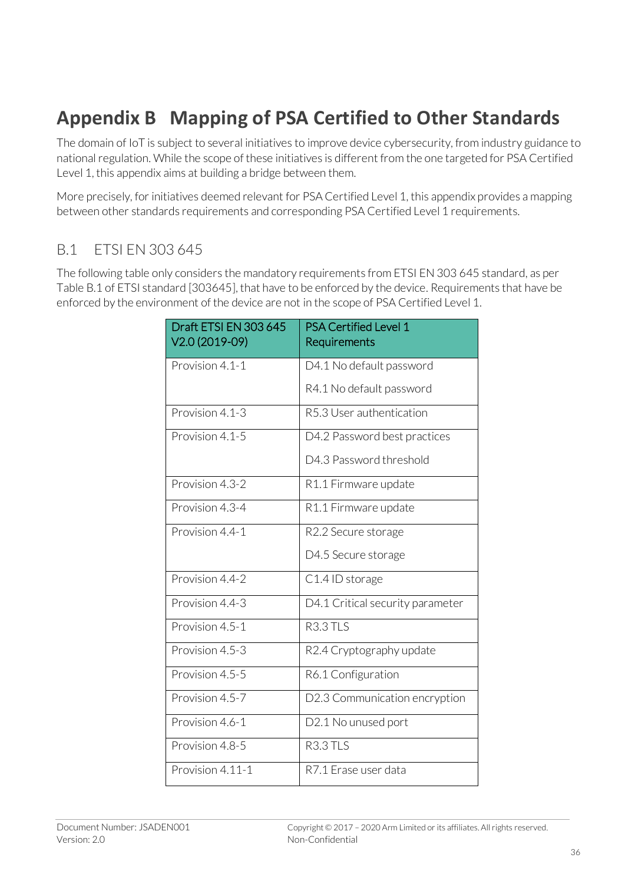# **Appendix B Mapping of PSA Certified to Other Standards**

The domain of IoT is subject to several initiatives to improve device cybersecurity, from industry guidance to national regulation. While the scope of these initiatives is different from the one targeted for PSA Certified Level 1, this appendix aims at building a bridge between them.

More precisely, for initiatives deemed relevant for PSA Certified Level 1, this appendix provides a mapping between other standards requirements and corresponding PSA Certified Level 1 requirements.

#### B.1 ETSI EN 303 645

The following table only considers the mandatory requirements from ETSI EN 303 645 standard, as per Table B.1 of ETSI standard [303645], that have to be enforced by the device. Requirements that have be enforced by the environment of the device are not in the scope of PSA Certified Level 1.

| Draft ETSI EN 303 645<br>V2.0 (2019-09) | <b>PSA Certified Level 1</b><br>Requirements |
|-----------------------------------------|----------------------------------------------|
| Provision 4.1-1                         | D4.1 No default password                     |
|                                         | R4.1 No default password                     |
| Provision 4.1-3                         | R5.3 User authentication                     |
| Provision 4.1-5                         | D4.2 Password best practices                 |
|                                         | D4.3 Password threshold                      |
| Provision 4.3-2                         | R1.1 Firmware update                         |
| Provision 4.3-4                         | R1.1 Firmware update                         |
| Provision 4.4-1                         | R2.2 Secure storage                          |
|                                         | D4.5 Secure storage                          |
| Provision 4.4-2                         | C1.4 ID storage                              |
| Provision 4.4-3                         | D4.1 Critical security parameter             |
| Provision 4.5-1                         | R <sub>3.3</sub> TLS                         |
| Provision 4.5-3                         | R2.4 Cryptography update                     |
| Provision 4.5-5                         | R6.1 Configuration                           |
| Provision 4.5-7                         | D2.3 Communication encryption                |
| Provision 4.6-1                         | D2.1 No unused port                          |
| Provision 4.8-5                         | R3.3 TLS                                     |
| Provision 4.11-1                        | R7.1 Erase user data                         |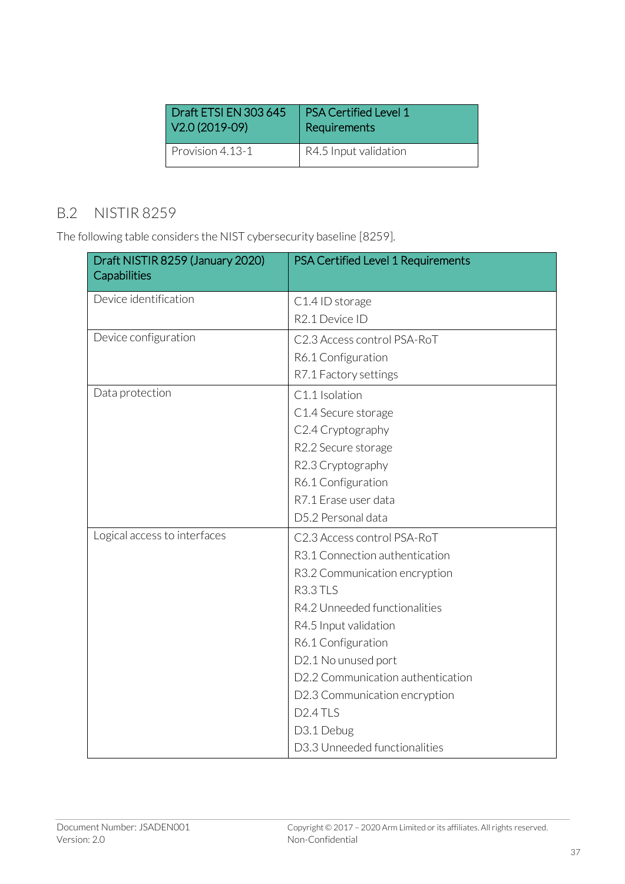| Draft ETSI EN 303 645 | <b>PSA Certified Level 1</b> |
|-----------------------|------------------------------|
| V2.0 (2019-09)        | Requirements                 |
| Provision 4.13-1      | R4.5 Input validation        |

#### B.2 NISTIR 8259

The following table considers the NIST cybersecurity baseline [8259].

| Draft NISTIR 8259 (January 2020)<br>Capabilities | PSA Certified Level 1 Requirements |
|--------------------------------------------------|------------------------------------|
| Device identification                            | C1.4 ID storage                    |
|                                                  | R2.1 Device ID                     |
| Device configuration                             | C2.3 Access control PSA-RoT        |
|                                                  | R6.1 Configuration                 |
|                                                  | R7.1 Factory settings              |
| Data protection                                  | C1.1 Isolation                     |
|                                                  | C1.4 Secure storage                |
|                                                  | C2.4 Cryptography                  |
|                                                  | R2.2 Secure storage                |
|                                                  | R2.3 Cryptography                  |
|                                                  | R6.1 Configuration                 |
|                                                  | R7.1 Erase user data               |
|                                                  | D5.2 Personal data                 |
| Logical access to interfaces                     | C2.3 Access control PSA-RoT        |
|                                                  | R3.1 Connection authentication     |
|                                                  | R3.2 Communication encryption      |
|                                                  | R3.3 TLS                           |
|                                                  | R4.2 Unneeded functionalities      |
|                                                  | R4.5 Input validation              |
|                                                  | R6.1 Configuration                 |
|                                                  | D2.1 No unused port                |
|                                                  | D2.2 Communication authentication  |
|                                                  | D2.3 Communication encryption      |
|                                                  | D <sub>2.4</sub> TLS               |
|                                                  | D3.1 Debug                         |
|                                                  | D3.3 Unneeded functionalities      |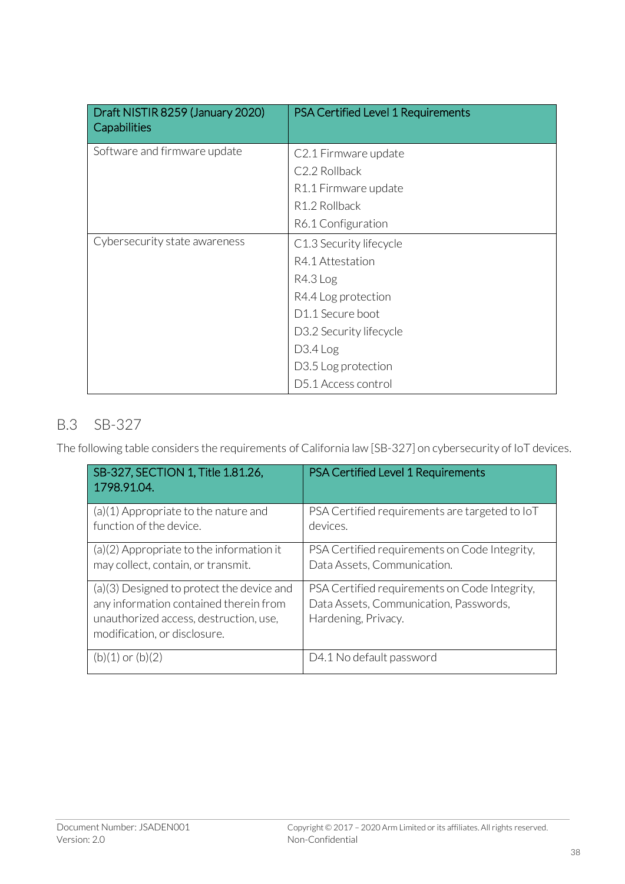| Draft NISTIR 8259 (January 2020)<br>Capabilities | PSA Certified Level 1 Requirements |
|--------------------------------------------------|------------------------------------|
| Software and firmware update                     | C2.1 Firmware update               |
|                                                  | C2.2 Rollback                      |
|                                                  | R1.1 Firmware update               |
|                                                  | R <sub>1.2</sub> Rollback          |
|                                                  | R6.1 Configuration                 |
| Cybersecurity state awareness                    | C1.3 Security lifecycle            |
|                                                  | R4.1 Attestation                   |
|                                                  | R4.3 Log                           |
|                                                  | R4.4 Log protection                |
|                                                  | D <sub>1.1</sub> Secure boot       |
|                                                  | D3.2 Security lifecycle            |
|                                                  | $D3.4$ Log                         |
|                                                  | D3.5 Log protection                |
|                                                  | D5.1 Access control                |

#### B.3 SB-327

The following table considers the requirements of California law [SB-327] on cybersecurity of IoT devices.

| SB-327, SECTION 1, Title 1.81.26,<br>1798.91.04.                                                                                                              | PSA Certified Level 1 Requirements                                                                             |
|---------------------------------------------------------------------------------------------------------------------------------------------------------------|----------------------------------------------------------------------------------------------------------------|
| $(a)(1)$ Appropriate to the nature and<br>function of the device.                                                                                             | PSA Certified requirements are targeted to IoT<br>devices.                                                     |
| $(a)(2)$ Appropriate to the information it<br>may collect, contain, or transmit.                                                                              | PSA Certified requirements on Code Integrity,<br>Data Assets, Communication.                                   |
| (a)(3) Designed to protect the device and<br>any information contained therein from<br>unauthorized access, destruction, use,<br>modification, or disclosure. | PSA Certified requirements on Code Integrity,<br>Data Assets, Communication, Passwords,<br>Hardening, Privacy. |
| $(b)(1)$ or $(b)(2)$                                                                                                                                          | D4.1 No default password                                                                                       |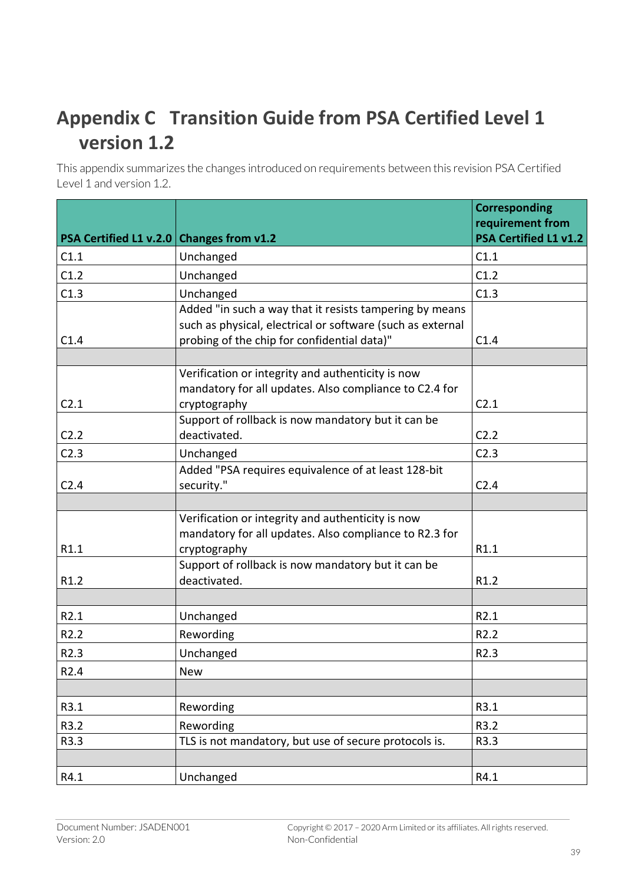# **Appendix C Transition Guide from PSA Certified Level 1 version 1.2**

This appendix summarizes the changes introduced on requirements between this revision PSA Certified Level 1 and version 1.2.

|                                          |                                                                                                                                                                      | <b>Corresponding</b><br>requirement from |
|------------------------------------------|----------------------------------------------------------------------------------------------------------------------------------------------------------------------|------------------------------------------|
| PSA Certified L1 v.2.0 Changes from v1.2 |                                                                                                                                                                      | <b>PSA Certified L1 v1.2</b>             |
| C1.1                                     | Unchanged                                                                                                                                                            | C1.1                                     |
| C1.2                                     | Unchanged                                                                                                                                                            | C1.2                                     |
| C1.3                                     | Unchanged                                                                                                                                                            | C1.3                                     |
| C1.4                                     | Added "in such a way that it resists tampering by means<br>such as physical, electrical or software (such as external<br>probing of the chip for confidential data)" | C1.4                                     |
|                                          |                                                                                                                                                                      |                                          |
| C2.1                                     | Verification or integrity and authenticity is now<br>mandatory for all updates. Also compliance to C2.4 for<br>cryptography                                          | C2.1                                     |
| C <sub>2.2</sub>                         | Support of rollback is now mandatory but it can be<br>deactivated.                                                                                                   | C2.2                                     |
| C2.3                                     | Unchanged                                                                                                                                                            | C2.3                                     |
| C <sub>2.4</sub>                         | Added "PSA requires equivalence of at least 128-bit<br>security."                                                                                                    | C <sub>2.4</sub>                         |
|                                          |                                                                                                                                                                      |                                          |
|                                          | Verification or integrity and authenticity is now<br>mandatory for all updates. Also compliance to R2.3 for                                                          |                                          |
| R1.1                                     | cryptography                                                                                                                                                         | R1.1                                     |
| R <sub>1.2</sub>                         | Support of rollback is now mandatory but it can be<br>deactivated.                                                                                                   | R <sub>1.2</sub>                         |
|                                          |                                                                                                                                                                      |                                          |
| R2.1                                     | Unchanged                                                                                                                                                            | R2.1                                     |
| R <sub>2.2</sub>                         | Rewording                                                                                                                                                            | R <sub>2.2</sub>                         |
| R2.3                                     | Unchanged                                                                                                                                                            | R2.3                                     |
| R2.4                                     | New                                                                                                                                                                  |                                          |
|                                          |                                                                                                                                                                      |                                          |
| R3.1                                     | Rewording                                                                                                                                                            | R3.1                                     |
| R3.2                                     | Rewording                                                                                                                                                            | R3.2                                     |
| R3.3                                     | TLS is not mandatory, but use of secure protocols is.                                                                                                                | R3.3                                     |
|                                          |                                                                                                                                                                      |                                          |
| R4.1                                     | Unchanged                                                                                                                                                            | R4.1                                     |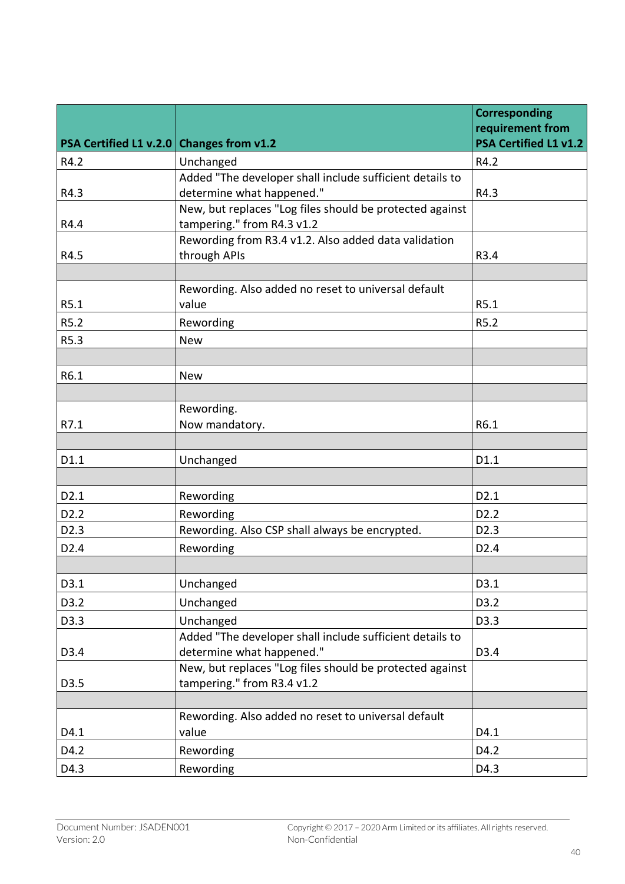|                                          |                                                                                        | <b>Corresponding</b><br>requirement from |
|------------------------------------------|----------------------------------------------------------------------------------------|------------------------------------------|
| PSA Certified L1 v.2.0 Changes from v1.2 |                                                                                        | <b>PSA Certified L1 v1.2</b>             |
| R4.2                                     | Unchanged                                                                              | R4.2                                     |
|                                          | Added "The developer shall include sufficient details to                               |                                          |
| R4.3                                     | determine what happened."                                                              | R4.3                                     |
| R4.4                                     | New, but replaces "Log files should be protected against<br>tampering." from R4.3 v1.2 |                                          |
| R4.5                                     | Rewording from R3.4 v1.2. Also added data validation<br>through APIs                   | R3.4                                     |
|                                          |                                                                                        |                                          |
| R5.1                                     | Rewording. Also added no reset to universal default<br>value                           | R5.1                                     |
| R5.2                                     | Rewording                                                                              | R5.2                                     |
| R5.3                                     | <b>New</b>                                                                             |                                          |
|                                          |                                                                                        |                                          |
| R6.1                                     | <b>New</b>                                                                             |                                          |
|                                          |                                                                                        |                                          |
|                                          | Rewording.                                                                             |                                          |
| R7.1                                     | Now mandatory.                                                                         | R6.1                                     |
|                                          |                                                                                        |                                          |
| D1.1                                     | Unchanged                                                                              | D1.1                                     |
|                                          |                                                                                        |                                          |
| D <sub>2.1</sub>                         | Rewording                                                                              | D <sub>2.1</sub>                         |
| D <sub>2.2</sub>                         | Rewording                                                                              | D2.2                                     |
| D <sub>2.3</sub>                         | Rewording. Also CSP shall always be encrypted.                                         | D <sub>2.3</sub>                         |
| D <sub>2.4</sub>                         | Rewording                                                                              | D <sub>2.4</sub>                         |
|                                          |                                                                                        |                                          |
| D3.1                                     | Unchanged                                                                              | D3.1                                     |
| D3.2                                     | Unchanged                                                                              | D3.2                                     |
| D3.3                                     | Unchanged                                                                              | D3.3                                     |
|                                          | Added "The developer shall include sufficient details to                               |                                          |
| D3.4                                     | determine what happened."                                                              | D3.4                                     |
|                                          | New, but replaces "Log files should be protected against                               |                                          |
| D3.5                                     | tampering." from R3.4 v1.2                                                             |                                          |
|                                          |                                                                                        |                                          |
| D4.1                                     | Rewording. Also added no reset to universal default<br>value                           | D4.1                                     |
|                                          |                                                                                        |                                          |
| D4.2                                     | Rewording                                                                              | D4.2                                     |
| D4.3                                     | Rewording                                                                              | D4.3                                     |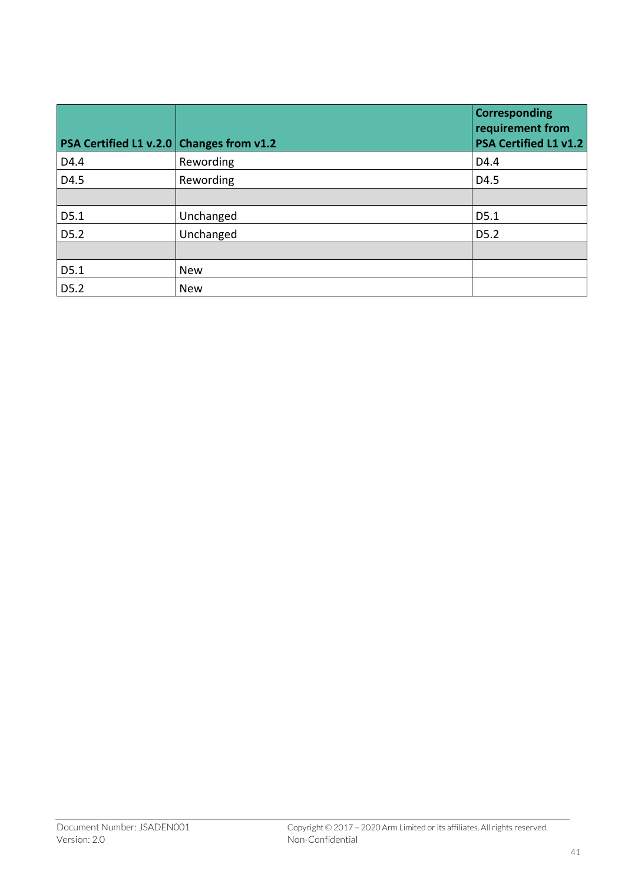| PSA Certified L1 v.2.0 Changes from v1.2 |            | Corresponding<br>requirement from<br><b>PSA Certified L1 v1.2</b> |
|------------------------------------------|------------|-------------------------------------------------------------------|
| D4.4                                     | Rewording  | D4.4                                                              |
| D4.5                                     | Rewording  | D4.5                                                              |
|                                          |            |                                                                   |
| D5.1                                     | Unchanged  | D5.1                                                              |
| D5.2                                     | Unchanged  | D <sub>5.2</sub>                                                  |
|                                          |            |                                                                   |
| D5.1                                     | <b>New</b> |                                                                   |
| D5.2                                     | <b>New</b> |                                                                   |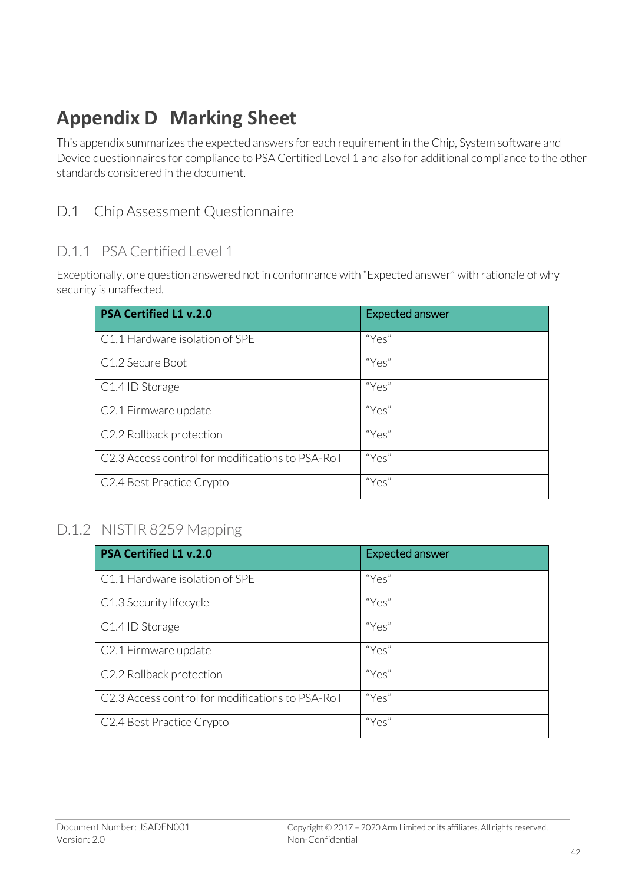# **Appendix D Marking Sheet**

This appendix summarizes the expected answers for each requirement in the Chip, System software and Device questionnaires for compliance to PSA Certified Level 1 and also for additional compliance to the other standards considered in the document.

#### D.1 Chip Assessment Questionnaire

#### D.1.1 PSA Certified Level 1

Exceptionally, one question answered not in conformance with "Expected answer" with rationale of why security is unaffected.

| <b>PSA Certified L1 v.2.0</b>                    | <b>Expected answer</b> |
|--------------------------------------------------|------------------------|
| C1.1 Hardware isolation of SPE                   | "Yes"                  |
| C1.2 Secure Boot                                 | "Yes"                  |
| C <sub>1.4</sub> ID Storage                      | "Yes"                  |
| C2.1 Firmware update                             | "Yes"                  |
| C2.2 Rollback protection                         | "Yes"                  |
| C2.3 Access control for modifications to PSA-RoT | "Yes"                  |
| C2.4 Best Practice Crypto                        | "Yes"                  |

#### D.1.2 NISTIR 8259 Mapping

| <b>PSA Certified L1 v.2.0</b>                    | <b>Expected answer</b> |
|--------------------------------------------------|------------------------|
| C1.1 Hardware isolation of SPE                   | "Yes"                  |
| C1.3 Security lifecycle                          | "Yes"                  |
| C <sub>1.4</sub> ID Storage                      | "Yes"                  |
| C2.1 Firmware update                             | "Yes"                  |
| C2.2 Rollback protection                         | "Yes"                  |
| C2.3 Access control for modifications to PSA-RoT | "Yes"                  |
| C2.4 Best Practice Crypto                        | "Yes"                  |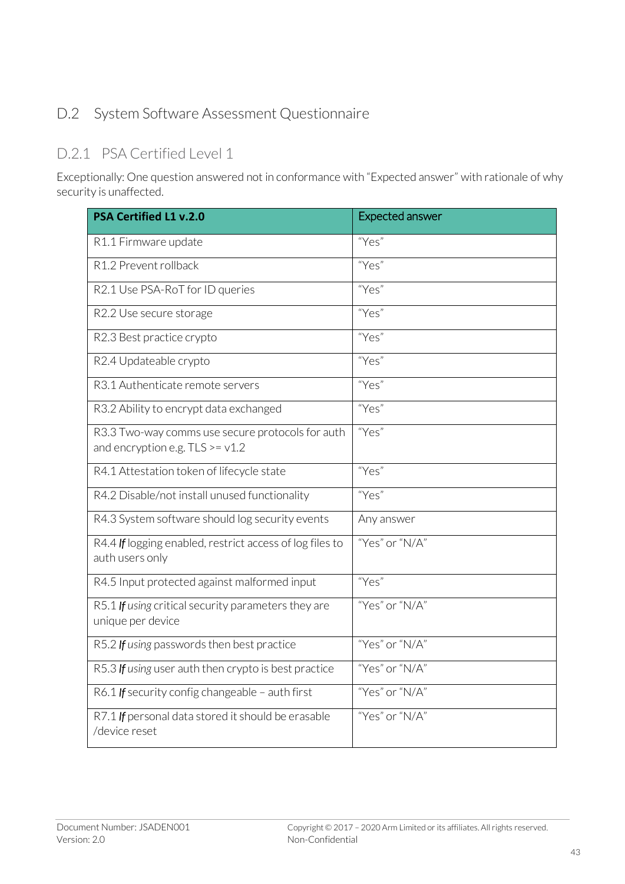## D.2 System Software Assessment Questionnaire

#### D.2.1 PSA Certified Level 1

Exceptionally: One question answered not in conformance with "Expected answer" with rationale of why security is unaffected.

| <b>PSA Certified L1 v.2.0</b>                                                         | <b>Expected answer</b> |
|---------------------------------------------------------------------------------------|------------------------|
| R1.1 Firmware update                                                                  | "Yes"                  |
| R1.2 Prevent rollback                                                                 | "Yes"                  |
| R2.1 Use PSA-RoT for ID queries                                                       | "Yes"                  |
| R2.2 Use secure storage                                                               | "Yes"                  |
| R2.3 Best practice crypto                                                             | "Yes"                  |
| R2.4 Updateable crypto                                                                | "Yes"                  |
| R3.1 Authenticate remote servers                                                      | "Yes"                  |
| R3.2 Ability to encrypt data exchanged                                                | "Yes"                  |
| R3.3 Two-way comms use secure protocols for auth<br>and encryption e.g. $TLS >= v1.2$ | "Yes"                  |
| R4.1 Attestation token of lifecycle state                                             | "Yes"                  |
| R4.2 Disable/not install unused functionality                                         | "Yes"                  |
| R4.3 System software should log security events                                       | Any answer             |
| R4.4 If logging enabled, restrict access of log files to<br>auth users only           | "Yes" or "N/A"         |
| R4.5 Input protected against malformed input                                          | "Yes"                  |
| R5.1 If using critical security parameters they are<br>unique per device              | "Yes" or "N/A"         |
| R5.2 If using passwords then best practice                                            | "Yes" or "N/A"         |
| R5.3 If using user auth then crypto is best practice                                  | "Yes" or "N/A"         |
| R6.1 If security config changeable - auth first                                       | "Yes" or "N/A"         |
| R7.1 If personal data stored it should be erasable<br>/device reset                   | "Yes" or "N/A"         |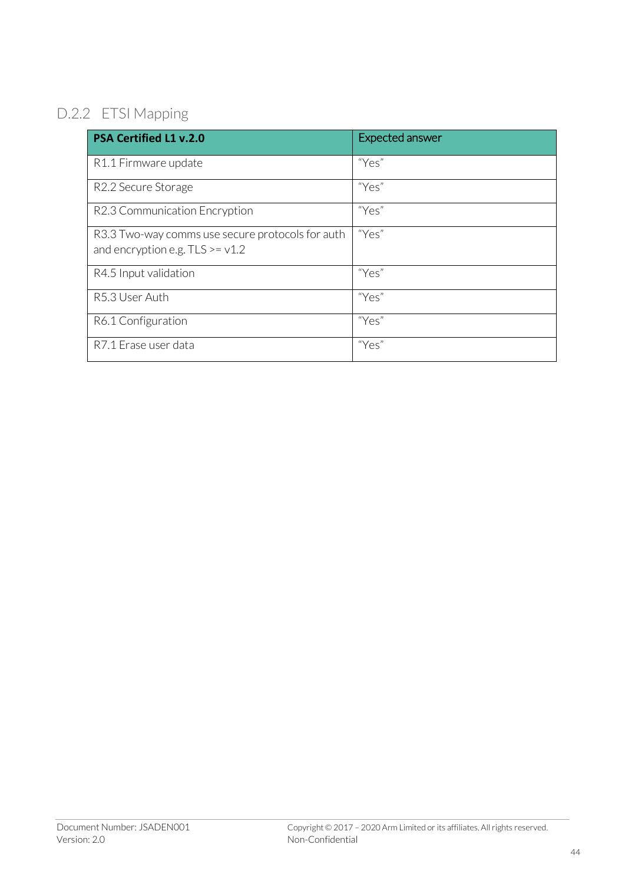## D.2.2 ETSI Mapping

| <b>PSA Certified L1 v.2.0</b>                                                           | Expected answer |
|-----------------------------------------------------------------------------------------|-----------------|
| R1.1 Firmware update                                                                    | "Yes"           |
| R2.2 Secure Storage                                                                     | "Yes"           |
| R2.3 Communication Encryption                                                           | "Yes"           |
| R3.3 Two-way comms use secure protocols for auth<br>and encryption e.g. $TLS \geq v1.2$ | "Yes"           |
| R4.5 Input validation                                                                   | "Yes"           |
| R5.3 User Auth                                                                          | "Yes"           |
| R6.1 Configuration                                                                      | "Yes"           |
| R7.1 Erase user data                                                                    | "Yes"           |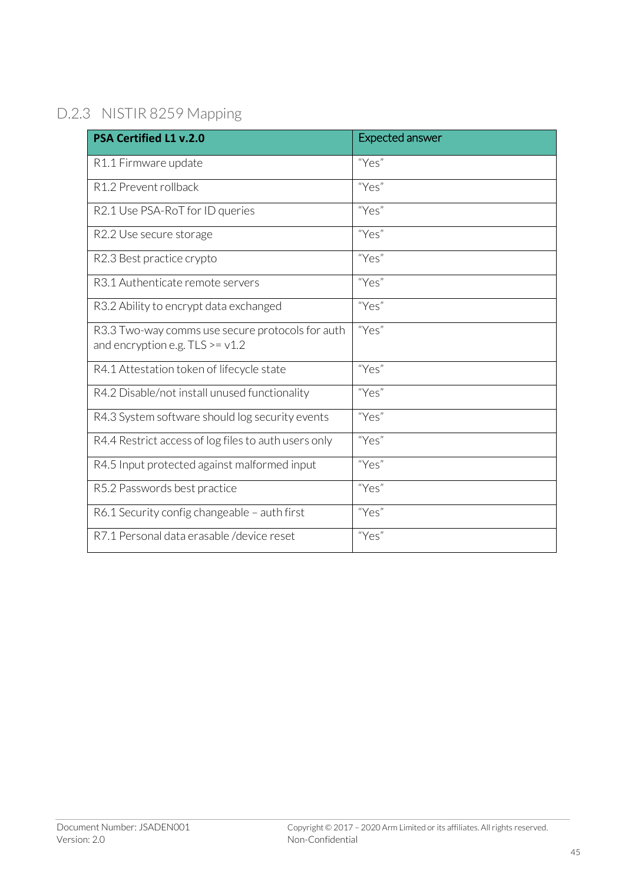## D.2.3 NISTIR 8259 Mapping

| <b>PSA Certified L1 v.2.0</b>                                                          | <b>Expected answer</b> |
|----------------------------------------------------------------------------------------|------------------------|
| R1.1 Firmware update                                                                   | "Yes"                  |
| R1.2 Prevent rollback                                                                  | "Yes"                  |
| R2.1 Use PSA-RoT for ID queries                                                        | "Yes"                  |
| R2.2 Use secure storage                                                                | "Yes"                  |
| R2.3 Best practice crypto                                                              | "Yes"                  |
| R3.1 Authenticate remote servers                                                       | "Yes"                  |
| R3.2 Ability to encrypt data exchanged                                                 | "Yes"                  |
| R3.3 Two-way comms use secure protocols for auth<br>and encryption e.g. $TLS \ge v1.2$ | "Yes"                  |
| R4.1 Attestation token of lifecycle state                                              | "Yes"                  |
| R4.2 Disable/not install unused functionality                                          | "Yes"                  |
| R4.3 System software should log security events                                        | "Yes"                  |
| R4.4 Restrict access of log files to auth users only                                   | "Yes"                  |
| R4.5 Input protected against malformed input                                           | "Yes"                  |
| R5.2 Passwords best practice                                                           | "Yes"                  |
| R6.1 Security config changeable - auth first                                           | "Yes"                  |
| R7.1 Personal data erasable / device reset                                             | "Yes"                  |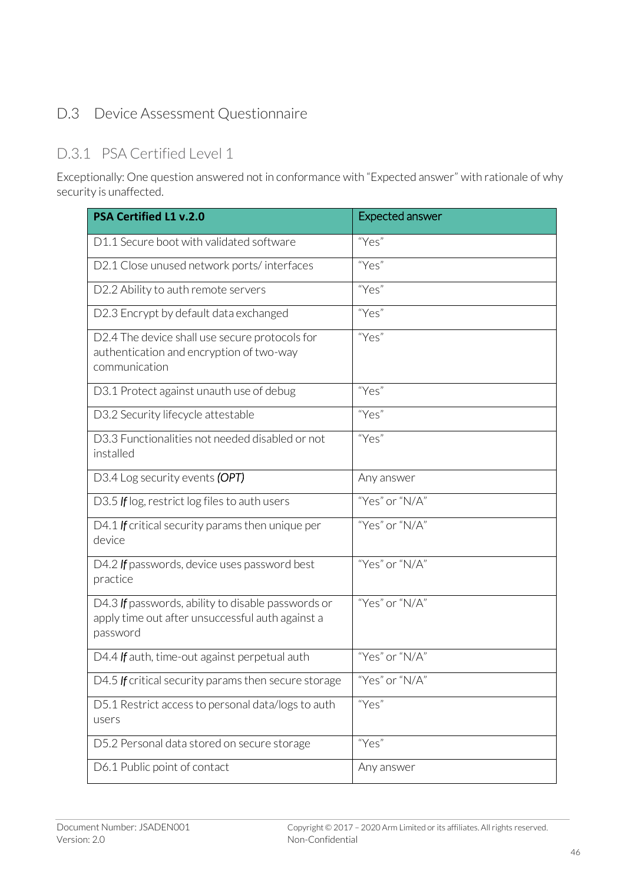### D.3 Device Assessment Questionnaire

#### D.3.1 PSA Certified Level 1

Exceptionally: One question answered not in conformance with "Expected answer" with rationale of why security is unaffected.

| <b>PSA Certified L1 v.2.0</b>                                                                                      | <b>Expected answer</b> |
|--------------------------------------------------------------------------------------------------------------------|------------------------|
| D1.1 Secure boot with validated software                                                                           | "Yes"                  |
| D2.1 Close unused network ports/interfaces                                                                         | "Yes"                  |
| D2.2 Ability to auth remote servers                                                                                | "Yes"                  |
| D2.3 Encrypt by default data exchanged                                                                             | "Yes"                  |
| D2.4 The device shall use secure protocols for<br>authentication and encryption of two-way<br>communication        | "Yes"                  |
| D3.1 Protect against unauth use of debug                                                                           | "Yes"                  |
| D3.2 Security lifecycle attestable                                                                                 | "Yes"                  |
| D3.3 Functionalities not needed disabled or not<br>installed                                                       | "Yes"                  |
| D3.4 Log security events (OPT)                                                                                     | Any answer             |
| D3.5 If log, restrict log files to auth users                                                                      | "Yes" or "N/A"         |
| D4.1 If critical security params then unique per<br>device                                                         | "Yes" or " $N/A$ "     |
| D4.2 If passwords, device uses password best<br>practice                                                           | "Yes" or "N/A"         |
| D4.3 If passwords, ability to disable passwords or<br>apply time out after unsuccessful auth against a<br>password | "Yes" or "N/A"         |
| D4.4 If auth, time-out against perpetual auth                                                                      | "Yes" or "N/A"         |
| D4.5 If critical security params then secure storage                                                               | "Yes" or "N/A"         |
| D5.1 Restrict access to personal data/logs to auth<br>users                                                        | "Yes"                  |
| D5.2 Personal data stored on secure storage                                                                        | "Yes"                  |
| D6.1 Public point of contact                                                                                       | Any answer             |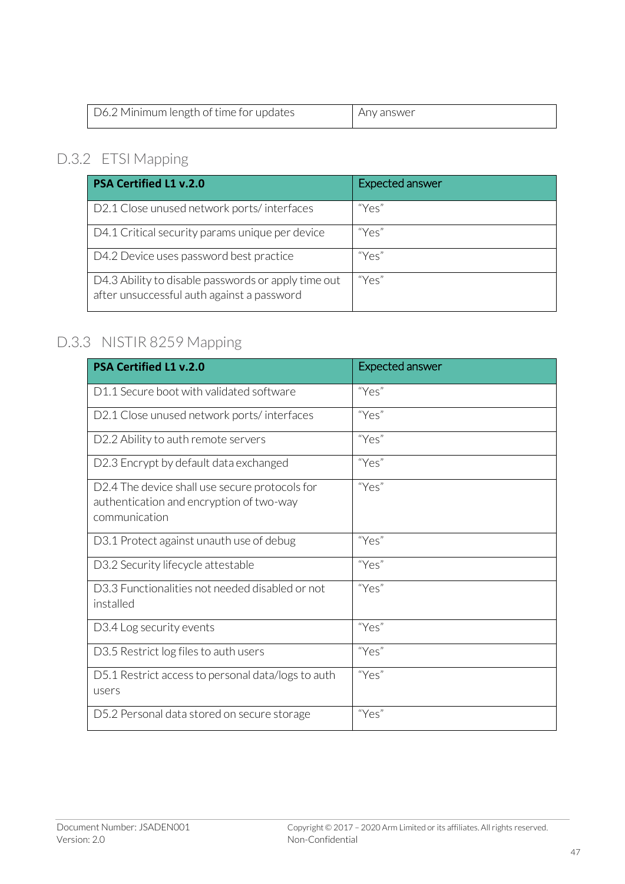| D6.2 Minimum length of time for updates | . Any answer |
|-----------------------------------------|--------------|

## D.3.2 ETSI Mapping

| <b>PSA Certified L1 v.2.0</b>                                                                     | <b>Expected answer</b> |
|---------------------------------------------------------------------------------------------------|------------------------|
| D2.1 Close unused network ports/interfaces                                                        | "Yes"                  |
| D4.1 Critical security params unique per device                                                   | "Yes"                  |
| D4.2 Device uses password best practice                                                           | "Yes"                  |
| D4.3 Ability to disable passwords or apply time out<br>after unsuccessful auth against a password | "Yes"                  |

## D.3.3 NISTIR 8259 Mapping

| <b>PSA Certified L1 v.2.0</b>                                                                               | <b>Expected answer</b> |
|-------------------------------------------------------------------------------------------------------------|------------------------|
| D1.1 Secure boot with validated software                                                                    | "Yes"                  |
| D2.1 Close unused network ports/interfaces                                                                  | "Yes"                  |
| D2.2 Ability to auth remote servers                                                                         | "Yes"                  |
| D2.3 Encrypt by default data exchanged                                                                      | "Yes"                  |
| D2.4 The device shall use secure protocols for<br>authentication and encryption of two-way<br>communication | "Yes"                  |
| D3.1 Protect against unauth use of debug                                                                    | "Yes"                  |
| D3.2 Security lifecycle attestable                                                                          | "Yes"                  |
| D3.3 Functionalities not needed disabled or not<br>installed                                                | "Yes"                  |
| D3.4 Log security events                                                                                    | "Yes"                  |
| D3.5 Restrict log files to auth users                                                                       | "Yes"                  |
| D5.1 Restrict access to personal data/logs to auth<br>users                                                 | "Yes"                  |
| D5.2 Personal data stored on secure storage                                                                 | "Yes"                  |